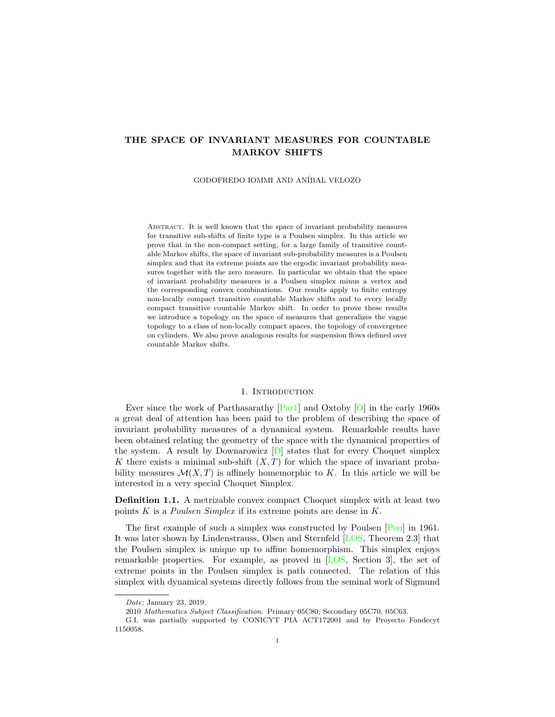# <span id="page-0-0"></span>THE SPACE OF INVARIANT MEASURES FOR COUNTABLE MARKOV SHIFTS

GODOFREDO IOMMI AND ANÍBAL VELOZO

Abstract. It is well known that the space of invariant probability measures for transitive sub-shifts of finite type is a Poulsen simplex. In this article we prove that in the non-compact setting, for a large family of transitive countable Markov shifts, the space of invariant sub-probability measures is a Poulsen simplex and that its extreme points are the ergodic invariant probability measures together with the zero measure. In particular we obtain that the space of invariant probability measures is a Poulsen simplex minus a vertex and the corresponding convex combinations. Our results apply to finite entropy non-locally compact transitive countable Markov shifts and to every locally compact transitive countable Markov shift. In order to prove these results we introduce a topology on the space of measures that generalizes the vague topology to a class of non-locally compact spaces, the topology of convergence on cylinders. We also prove analogous results for suspension flows defined over countable Markov shifts.

#### 1. INTRODUCTION

Ever since the work of Parthasarathy  $[Par1]$  and Oxtoby  $[O]$  in the early 1960s a great deal of attention has been paid to the problem of describing the space of invariant probability measures of a dynamical system. Remarkable results have been obtained relating the geometry of the space with the dynamical properties of the system. A result by Downarowicz  $[D]$  states that for every Choquet simplex K there exists a minimal sub-shift  $(X, T)$  for which the space of invariant probability measures  $\mathcal{M}(X, T)$  is affinely homemorphic to K. In this article we will be interested in a very special Choquet Simplex.

Definition 1.1. A metrizable convex compact Choquet simplex with at least two points K is a *Poulsen Simplex* if its extreme points are dense in  $K$ .

The first example of such a simplex was constructed by Poulsen [\[Pou\]](#page-31-0) in 1961. It was later shown by Lindenstrauss, Olsen and Sternfeld [\[LOS,](#page-30-0) Theorem 2.3] that the Poulsen simplex is unique up to affine homemorphism. This simplex enjoys remarkable properties. For example, as proved in [\[LOS,](#page-30-0) Section 3], the set of extreme points in the Poulsen simplex is path connected. The relation of this simplex with dynamical systems directly follows from the seminal work of Sigmund

Date: January 23, 2019.

<sup>2010</sup> Mathematics Subject Classification. Primary 05C80; Secondary 05C70, 05C63.

G.I. was partially supported by CONICYT PIA ACT172001 and by Proyecto Fondecyt 1150058.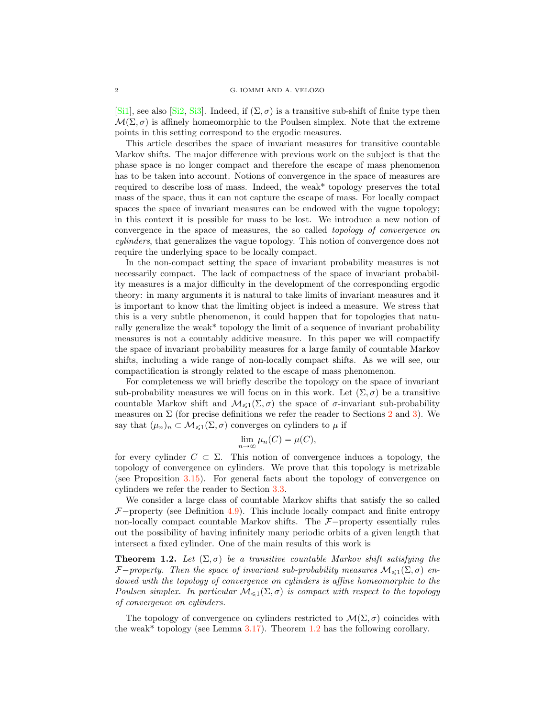<span id="page-1-1"></span>[\[Si1\]](#page-31-1), see also [\[Si2,](#page-31-2) [Si3\]](#page-31-3). Indeed, if  $(\Sigma, \sigma)$  is a transitive sub-shift of finite type then  $\mathcal{M}(\Sigma, \sigma)$  is affinely homeomorphic to the Poulsen simplex. Note that the extreme points in this setting correspond to the ergodic measures.

This article describes the space of invariant measures for transitive countable Markov shifts. The major difference with previous work on the subject is that the phase space is no longer compact and therefore the escape of mass phenomenon has to be taken into account. Notions of convergence in the space of measures are required to describe loss of mass. Indeed, the weak\* topology preserves the total mass of the space, thus it can not capture the escape of mass. For locally compact spaces the space of invariant measures can be endowed with the vague topology; in this context it is possible for mass to be lost. We introduce a new notion of convergence in the space of measures, the so called topology of convergence on cylinders, that generalizes the vague topology. This notion of convergence does not require the underlying space to be locally compact.

In the non-compact setting the space of invariant probability measures is not necessarily compact. The lack of compactness of the space of invariant probability measures is a major difficulty in the development of the corresponding ergodic theory: in many arguments it is natural to take limits of invariant measures and it is important to know that the limiting object is indeed a measure. We stress that this is a very subtle phenomenon, it could happen that for topologies that naturally generalize the weak\* topology the limit of a sequence of invariant probability measures is not a countably additive measure. In this paper we will compactify the space of invariant probability measures for a large family of countable Markov shifts, including a wide range of non-locally compact shifts. As we will see, our compactification is strongly related to the escape of mass phenomenon.

For completeness we will briefly describe the topology on the space of invariant sub-probability measures we will focus on in this work. Let  $(\Sigma, \sigma)$  be a transitive countable Markov shift and  $\mathcal{M}_{\leq 1}(\Sigma, \sigma)$  the space of  $\sigma$ -invariant sub-probability measures on  $\Sigma$  (for precise definitions we refer the reader to Sections [2](#page-3-0) and [3\)](#page-4-0). We say that  $(\mu_n)_n \subset \mathcal{M}_{\leq 1}(\Sigma, \sigma)$  converges on cylinders to  $\mu$  if

$$
\lim_{n \to \infty} \mu_n(C) = \mu(C),
$$

for every cylinder  $C \subset \Sigma$ . This notion of convergence induces a topology, the topology of convergence on cylinders. We prove that this topology is metrizable (see Proposition [3.15\)](#page-8-0). For general facts about the topology of convergence on cylinders we refer the reader to Section [3.3.](#page-7-0)

We consider a large class of countable Markov shifts that satisfy the so called  $F$ <sup>-</sup>property (see Definition [4.9\)](#page-15-0). This include locally compact and finite entropy non-locally compact countable Markov shifts. The  $F$ -property essentially rules out the possibility of having infinitely many periodic orbits of a given length that intersect a fixed cylinder. One of the main results of this work is

<span id="page-1-0"></span>**Theorem 1.2.** Let  $(\Sigma, \sigma)$  be a transitive countable Markov shift satisfying the *F*<sup> $-p$ </sup>roperty. Then the space of invariant sub-probability measures  $M_{\leq 1}(\Sigma, \sigma)$  endowed with the topology of convergence on cylinders is affine homeomorphic to the Poulsen simplex. In particular  $\mathcal{M}_{\leq 1}(\Sigma, \sigma)$  is compact with respect to the topology of convergence on cylinders.

The topology of convergence on cylinders restricted to  $\mathcal{M}(\Sigma, \sigma)$  coincides with the weak\* topology (see Lemma  $3.17$ ). Theorem [1.2](#page-1-0) has the following corollary.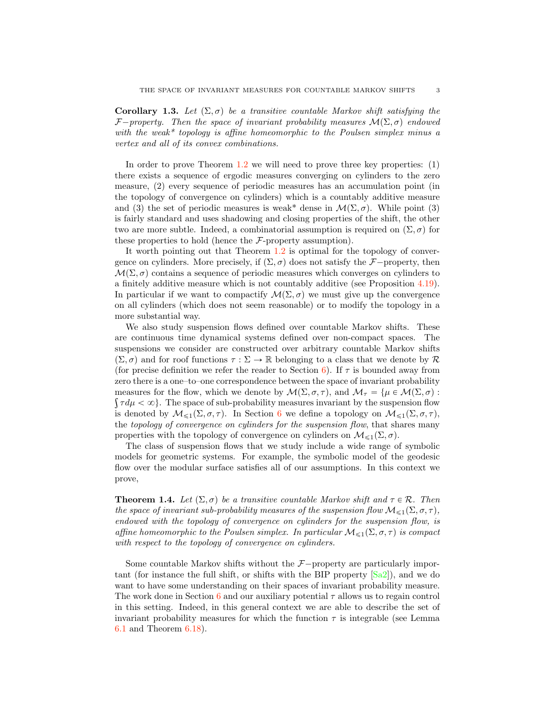<span id="page-2-0"></span>**Corollary 1.3.** Let  $(\Sigma, \sigma)$  be a transitive countable Markov shift satisfying the *F*<sup> $-property$ </sup>. Then the space of invariant probability measures  $\mathcal{M}(\Sigma, \sigma)$  endowed with the weak\* topology is affine homeomorphic to the Poulsen simplex minus a vertex and all of its convex combinations.

In order to prove Theorem [1.2](#page-1-0) we will need to prove three key properties: (1) there exists a sequence of ergodic measures converging on cylinders to the zero measure, (2) every sequence of periodic measures has an accumulation point (in the topology of convergence on cylinders) which is a countably additive measure and (3) the set of periodic measures is weak<sup>\*</sup> dense in  $\mathcal{M}(\Sigma, \sigma)$ . While point (3) is fairly standard and uses shadowing and closing properties of the shift, the other two are more subtle. Indeed, a combinatorial assumption is required on  $(\Sigma, \sigma)$  for these properties to hold (hence the *F*-property assumption).

It worth pointing out that Theorem [1.2](#page-1-0) is optimal for the topology of convergence on cylinders. More precisely, if  $(\Sigma, \sigma)$  does not satisfy the *F* $-$ property, then  $\mathcal{M}(\Sigma, \sigma)$  contains a sequence of periodic measures which converges on cylinders to a finitely additive measure which is not countably additive (see Proposition [4.19\)](#page-19-0). In particular if we want to compactify  $\mathcal{M}(\Sigma, \sigma)$  we must give up the convergence on all cylinders (which does not seem reasonable) or to modify the topology in a more substantial way.

We also study suspension flows defined over countable Markov shifts. These are continuous time dynamical systems defined over non-compact spaces. The suspensions we consider are constructed over arbitrary countable Markov shifts  $(\Sigma, \sigma)$  and for roof functions  $\tau : \Sigma \to \mathbb{R}$  belonging to a class that we denote by  $\mathcal{R}$ (for precise definition we refer the reader to Section [6\)](#page-20-0). If  $\tau$  is bounded away from zero there is a one–to–one correspondence between the space of invariant probability measures for the flow, which we denote by  $\mathcal{M}(\Sigma, \sigma, \tau)$ , and  $\mathcal{M}_{\tau} = {\mu \in \mathcal{M}(\Sigma, \sigma) : \xi$  $\{\tau d\mu < \infty\}$ . The space of sub-probability measures invariant by the suspension flow is denoted by  $\mathcal{M}_{\leq 1}(\Sigma, \sigma, \tau)$ . In Section [6](#page-20-0) we define a topology on  $\mathcal{M}_{\leq 1}(\Sigma, \sigma, \tau)$ , the topology of convergence on cylinders for the suspension flow, that shares many properties with the topology of convergence on cylinders on  $\mathcal{M}_{\leq 1}(\Sigma, \sigma)$ .

The class of suspension flows that we study include a wide range of symbolic models for geometric systems. For example, the symbolic model of the geodesic flow over the modular surface satisfies all of our assumptions. In this context we prove,

**Theorem 1.4.** Let  $(\Sigma, \sigma)$  be a transitive countable Markov shift and  $\tau \in \mathcal{R}$ . Then the space of invariant sub-probability measures of the suspension flow  $\mathcal{M}_{\leq 1}(\Sigma, \sigma, \tau)$ , endowed with the topology of convergence on cylinders for the suspension flow, is affine homeomorphic to the Poulsen simplex. In particular  $\mathcal{M}_{\leq 1}(\Sigma, \sigma, \tau)$  is compact with respect to the topology of convergence on cylinders.

Some countable Markov shifts without the  $F$ -property are particularly important (for instance the full shift, or shifts with the BIP property [\[Sa2\]](#page-31-4)), and we do want to have some understanding on their spaces of invariant probability measure. The work done in Section [6](#page-20-0) and our auxiliary potential  $\tau$  allows us to regain control in this setting. Indeed, in this general context we are able to describe the set of invariant probability measures for which the function  $\tau$  is integrable (see Lemma [6.1](#page-21-0) and Theorem [6.18\)](#page-30-4).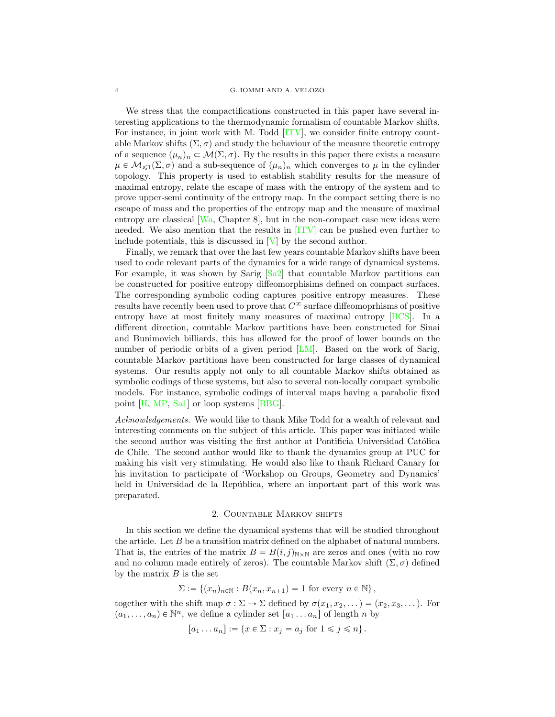#### <span id="page-3-1"></span>4 G. IOMMI AND A. VELOZO

We stress that the compactifications constructed in this paper have several interesting applications to the thermodynamic formalism of countable Markov shifts. For instance, in joint work with M. Todd [\[ITV\]](#page-30-6), we consider finite entropy countable Markov shifts  $(\Sigma, \sigma)$  and study the behaviour of the measure theoretic entropy of a sequence  $(\mu_n)_n \subset \mathcal{M}(\Sigma, \sigma)$ . By the results in this paper there exists a measure  $\mu \in \mathcal{M}_{\leq 1}(\Sigma, \sigma)$  and a sub-sequence of  $(\mu_n)_n$  which converges to  $\mu$  in the cylinder topology. This property is used to establish stability results for the measure of maximal entropy, relate the escape of mass with the entropy of the system and to prove upper-semi continuity of the entropy map. In the compact setting there is no escape of mass and the properties of the entropy map and the measure of maximal entropy are classical [\[Wa,](#page-31-5) Chapter 8], but in the non-compact case new ideas were needed. We also mention that the results in [\[ITV\]](#page-30-6) can be pushed even further to include potentials, this is discussed in [\[V\]](#page-31-6) by the second author.

Finally, we remark that over the last few years countable Markov shifts have been used to code relevant parts of the dynamics for a wide range of dynamical systems. For example, it was shown by Sarig [\[Sa2\]](#page-31-7) that countable Markov partitions can be constructed for positive entropy diffeomorphisims defined on compact surfaces. The corresponding symbolic coding captures positive entropy measures. These results have recently been used to prove that  $C^{\infty}$  surface diffeomoprhisms of positive entropy have at most finitely many measures of maximal entropy [\[BCS\]](#page-30-7). In a different direction, countable Markov partitions have been constructed for Sinai and Bunimovich billiards, this has allowed for the proof of lower bounds on the number of periodic orbits of a given period [\[LM\]](#page-30-8). Based on the work of Sarig, countable Markov partitions have been constructed for large classes of dynamical systems. Our results apply not only to all countable Markov shifts obtained as symbolic codings of these systems, but also to several non-locally compact symbolic models. For instance, symbolic codings of interval maps having a parabolic fixed point [\[H,](#page-30-9) [MP,](#page-30-10) [Sa1\]](#page-31-8) or loop systems [\[BBG\]](#page-30-5).

Acknowledgements. We would like to thank Mike Todd for a wealth of relevant and interesting comments on the subject of this article. This paper was initiated while the second author was visiting the first author at Pontificia Universidad Católica de Chile. The second author would like to thank the dynamics group at PUC for making his visit very stimulating. He would also like to thank Richard Canary for his invitation to participate of 'Workshop on Groups, Geometry and Dynamics' held in Universidad de la República, where an important part of this work was preparated.

#### 2. Countable Markov shifts

<span id="page-3-0"></span>In this section we define the dynamical systems that will be studied throughout the article. Let  $B$  be a transition matrix defined on the alphabet of natural numbers. That is, the entries of the matrix  $B = B(i, j)_{N \times N}$  are zeros and ones (with no row and no column made entirely of zeros). The countable Markov shift  $(\Sigma, \sigma)$  defined by the matrix  $B$  is the set

$$
\Sigma := \{(x_n)_{n \in \mathbb{N}} : B(x_n, x_{n+1}) = 1 \text{ for every } n \in \mathbb{N}\},
$$

together with the shift map  $\sigma : \Sigma \to \Sigma$  defined by  $\sigma(x_1, x_2, \dots) = (x_2, x_3, \dots)$ . For  $(a_1, \ldots, a_n) \in \mathbb{N}^n$ , we define a cylinder set  $[a_1 \ldots a_n]$  of length n by

$$
[a_1 \dots a_n] := \{ x \in \Sigma : x_j = a_j \text{ for } 1 \leq j \leq n \}.
$$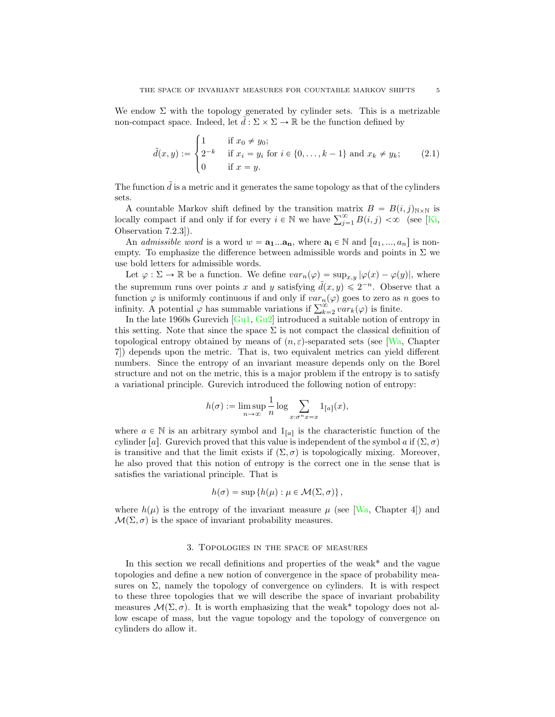<span id="page-4-1"></span>We endow  $\Sigma$  with the topology generated by cylinder sets. This is a metrizable non-compact space. Indeed, let  $\tilde{d} : \Sigma \times \Sigma \to \mathbb{R}$  be the function defined by

$$
\tilde{d}(x, y) := \begin{cases}\n1 & \text{if } x_0 \neq y_0; \\
2^{-k} & \text{if } x_i = y_i \text{ for } i \in \{0, \dots, k-1\} \text{ and } x_k \neq y_k; \\
0 & \text{if } x = y.\n\end{cases}
$$
\n(2.1)

The function  $\tilde{d}$  is a metric and it generates the same topology as that of the cylinders sets.

A countable Markov shift defined by the transition matrix  $B = B(i, j)_{\text{N} \times \text{N}}$  is locally compact if and only if for every  $i \in \mathbb{N}$  we have  $\sum_{j=1}^{\infty} B(i, j) < \infty$  (see [\[Ki,](#page-30-11) Observation 7.2.3]).

An *admissible word* is a word  $w = a_1...a_n$ , where  $a_i \in \mathbb{N}$  and  $[a_1, ..., a_n]$  is nonempty. To emphasize the difference between admissible words and points in  $\Sigma$  we use bold letters for admissible words.

Let  $\varphi : \Sigma \to \mathbb{R}$  be a function. We define  $var_n(\varphi) = \sup_{x,y} |\varphi(x) - \varphi(y)|$ , where the supremum runs over points x and y satisfying  $\tilde{d}(x, y) \leq 2^{-n}$ . Observe that a function  $\varphi$  is uniformly continuous if and only if  $var_n(\varphi)$  goes to zero as n goes to infinity. A potential  $\varphi$  has summable variations if  $\sum_{k=2}^{\infty} var_k(\varphi)$  is finite.

In the late 1960s Gurevich [\[Gu1,](#page-30-12) [Gu2\]](#page-30-13) introduced a suitable notion of entropy in this setting. Note that since the space  $\Sigma$  is not compact the classical definition of topological entropy obtained by means of  $(n, \varepsilon)$ -separated sets (see [\[Wa,](#page-31-5) Chapter 7]) depends upon the metric. That is, two equivalent metrics can yield different numbers. Since the entropy of an invariant measure depends only on the Borel structure and not on the metric, this is a major problem if the entropy is to satisfy a variational principle. Gurevich introduced the following notion of entropy:

$$
h(\sigma) := \limsup_{n \to \infty} \frac{1}{n} \log \sum_{x: \sigma^n x = x} 1_{[a]}(x),
$$

where  $a \in \mathbb{N}$  is an arbitrary symbol and  $1_{[a]}$  is the characteristic function of the cylinder [a]. Gurevich proved that this value is independent of the symbol a if  $(\Sigma, \sigma)$ is transitive and that the limit exists if  $(\Sigma, \sigma)$  is topologically mixing. Moreover, he also proved that this notion of entropy is the correct one in the sense that is satisfies the variational principle. That is

$$
h(\sigma) = \sup \{ h(\mu) : \mu \in \mathcal{M}(\Sigma, \sigma) \},
$$

where  $h(\mu)$  is the entropy of the invariant measure  $\mu$  (see [\[Wa,](#page-31-5) Chapter 4]) and  $\mathcal{M}(\Sigma, \sigma)$  is the space of invariant probability measures.

#### 3. Topologies in the space of measures

<span id="page-4-0"></span>In this section we recall definitions and properties of the weak\* and the vague topologies and define a new notion of convergence in the space of probability measures on  $\Sigma$ , namely the topology of convergence on cylinders. It is with respect to these three topologies that we will describe the space of invariant probability measures  $\mathcal{M}(\Sigma, \sigma)$ . It is worth emphasizing that the weak\* topology does not allow escape of mass, but the vague topology and the topology of convergence on cylinders do allow it.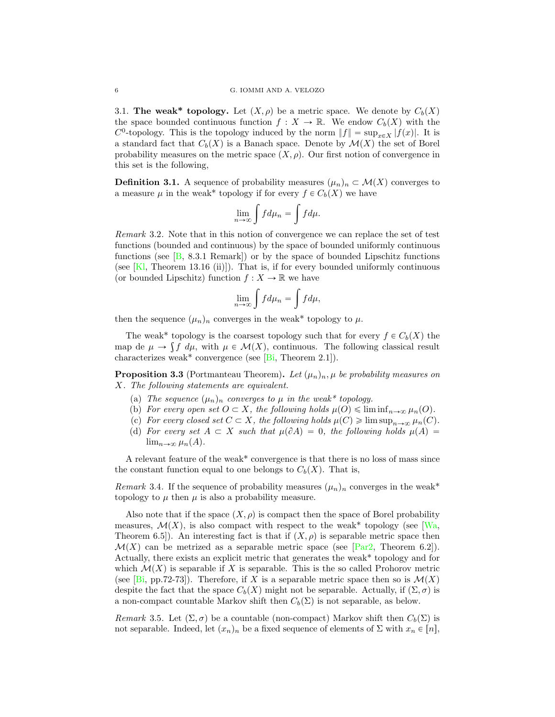<span id="page-5-2"></span>3.1. The weak\* topology. Let  $(X, \rho)$  be a metric space. We denote by  $C_b(X)$ the space bounded continuous function  $f : X \to \mathbb{R}$ . We endow  $C_b(X)$  with the  $C^0$ -topology. This is the topology induced by the norm  $||f|| = \sup_{x \in X} |f(x)|$ . It is a standard fact that  $C_b(X)$  is a Banach space. Denote by  $\mathcal{M}(X)$  the set of Borel probability measures on the metric space  $(X, \rho)$ . Our first notion of convergence in this set is the following,

**Definition 3.1.** A sequence of probability measures  $(\mu_n)_n \subset \mathcal{M}(X)$  converges to a measure  $\mu$  in the weak\* topology if for every  $f \in C_b(X)$  we have

$$
\lim_{n \to \infty} \int f d\mu_n = \int f d\mu.
$$

Remark 3.2. Note that in this notion of convergence we can replace the set of test functions (bounded and continuous) by the space of bounded uniformly continuous functions (see  $[B, 8.3.1$  $[B, 8.3.1$  Remark) or by the space of bounded Lipschitz functions (see  $[Kl,$  Theorem 13.16 (ii)]). That is, if for every bounded uniformly continuous (or bounded Lipschitz) function  $f: X \to \mathbb{R}$  we have

$$
\lim_{n \to \infty} \int f d\mu_n = \int f d\mu,
$$

then the sequence  $(\mu_n)_n$  converges in the weak\* topology to  $\mu$ .

The weak\* topology is the coarsest topology such that for every  $f \in C_b(X)$  the map de  $\mu \to \int f \, d\mu$ , with  $\mu \in \mathcal{M}(X)$ , continuous. The following classical result characterizes weak\* convergence (see  $[B_i,$  Theorem 2.1]).

<span id="page-5-0"></span>**Proposition 3.3** (Portmanteau Theorem). Let  $(\mu_n)_n$ ,  $\mu$  be probability measures on X. The following statements are equivalent.

- (a) The sequence  $(\mu_n)_n$  converges to  $\mu$  in the weak\* topology.
- (b) For every open set  $O \subset X$ , the following holds  $\mu(O) \leq \liminf_{n \to \infty} \mu_n(O)$ .
- (c) For every closed set  $C \subset X$ , the following holds  $\mu(C) \geq \limsup_{n \to \infty} \mu_n(C)$ .
- <span id="page-5-1"></span>(d) For every set  $A \subset X$  such that  $\mu(\partial A) = 0$ , the following holds  $\mu(A) =$  $\lim_{n\to\infty} \mu_n(A)$ .

A relevant feature of the weak\* convergence is that there is no loss of mass since the constant function equal to one belongs to  $C_b(X)$ . That is,

Remark 3.4. If the sequence of probability measures  $(\mu_n)_n$  converges in the weak\* topology to  $\mu$  then  $\mu$  is also a probability measure.

Also note that if the space  $(X, \rho)$  is compact then the space of Borel probability measures,  $\mathcal{M}(X)$ , is also compact with respect to the weak\* topology (see [\[Wa,](#page-31-5) Theorem 6.5]). An interesting fact is that if  $(X, \rho)$  is separable metric space then  $\mathcal{M}(X)$  can be metrized as a separable metric space (see [\[Par2,](#page-30-17) Theorem 6.2]). Actually, there exists an explicit metric that generates the weak\* topology and for which  $\mathcal{M}(X)$  is separable if X is separable. This is the so called Prohorov metric (see  $[B_i, pp.72-73]$ ). Therefore, if X is a separable metric space then so is  $\mathcal{M}(X)$ despite the fact that the space  $C_b(X)$  might not be separable. Actually, if  $(\Sigma, \sigma)$  is a non-compact countable Markov shift then  $C_b(\Sigma)$  is not separable, as below.

Remark 3.5. Let  $(\Sigma, \sigma)$  be a countable (non-compact) Markov shift then  $C_b(\Sigma)$  is not separable. Indeed, let  $(x_n)_n$  be a fixed sequence of elements of  $\Sigma$  with  $x_n \in [n]$ ,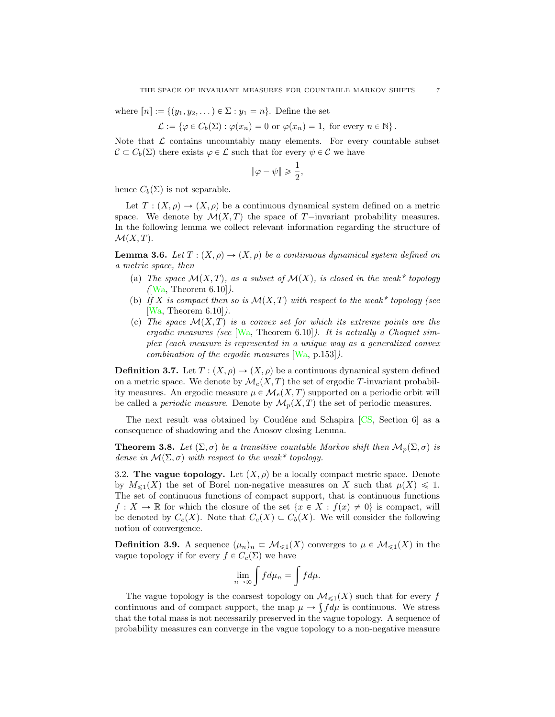<span id="page-6-2"></span>where  $[n] := \{ (y_1, y_2, \dots) \in \Sigma : y_1 = n \}.$  Define the set

$$
\mathcal{L} := \{ \varphi \in C_b(\Sigma) : \varphi(x_n) = 0 \text{ or } \varphi(x_n) = 1, \text{ for every } n \in \mathbb{N} \}.
$$

Note that  $\mathcal L$  contains uncountably many elements. For every countable subset  $\mathcal{C} \subset C_b(\Sigma)$  there exists  $\varphi \in \mathcal{L}$  such that for every  $\psi \in \mathcal{C}$  we have

$$
\|\varphi - \psi\| \geqslant \frac{1}{2},
$$

hence  $C_b(\Sigma)$  is not separable.

Let  $T: (X, \rho) \to (X, \rho)$  be a continuous dynamical system defined on a metric space. We denote by  $\mathcal{M}(X, T)$  the space of T-invariant probability measures. In the following lemma we collect relevant information regarding the structure of  $\mathcal{M}(X, T)$ .

<span id="page-6-0"></span>**Lemma 3.6.** Let  $T : (X, \rho) \to (X, \rho)$  be a continuous dynamical system defined on a metric space, then

- (a) The space  $\mathcal{M}(X,T)$ , as a subset of  $\mathcal{M}(X)$ , is closed in the weak\* topology  $([Wa, Theorem 6.10]).$  $([Wa, Theorem 6.10]).$  $([Wa, Theorem 6.10]).$
- (b) If X is compact then so is  $\mathcal{M}(X,T)$  with respect to the weak\* topology (see  $[Wa, Theorem 6.10]$  $[Wa, Theorem 6.10]$ .
- (c) The space  $\mathcal{M}(X,T)$  is a convex set for which its extreme points are the ergodic measures (see  $[Wa, Theorem 6.10]$  $[Wa, Theorem 6.10]$ ). It is actually a Choquet simplex (each measure is represented in a unique way as a generalized convex combination of the ergodic measures [\[Wa,](#page-31-5) p.153]).

**Definition 3.7.** Let  $T : (X, \rho) \to (X, \rho)$  be a continuous dynamical system defined on a metric space. We denote by  $\mathcal{M}_e(X, T)$  the set of ergodic T-invariant probability measures. An ergodic measure  $\mu \in \mathcal{M}_e(X, T)$  supported on a periodic orbit will be called a *periodic measure*. Denote by  $\mathcal{M}_p(X,T)$  the set of periodic measures.

The next result was obtained by Coudéne and Schapira  $[CS, Section 6]$  $[CS, Section 6]$  as a consequence of shadowing and the Anosov closing Lemma.

<span id="page-6-1"></span>**Theorem 3.8.** Let  $(\Sigma, \sigma)$  be a transitive countable Markov shift then  $\mathcal{M}_p(\Sigma, \sigma)$  is dense in  $\mathcal{M}(\Sigma, \sigma)$  with respect to the weak\* topology.

3.2. The vague topology. Let  $(X, \rho)$  be a locally compact metric space. Denote by  $M_{\leq 1}(X)$  the set of Borel non-negative measures on X such that  $\mu(X) \leq 1$ . The set of continuous functions of compact support, that is continuous functions  $f: X \to \mathbb{R}$  for which the closure of the set  $\{x \in X : f(x) \neq 0\}$  is compact, will be denoted by  $C_c(X)$ . Note that  $C_c(X) \subset C_b(X)$ . We will consider the following notion of convergence.

**Definition 3.9.** A sequence  $(\mu_n)_n \subset \mathcal{M}_{\leq 1}(X)$  converges to  $\mu \in \mathcal{M}_{\leq 1}(X)$  in the vague topology if for every  $f \in C_c(\Sigma)$  we have

$$
\lim_{n \to \infty} \int f d\mu_n = \int f d\mu.
$$

The vague topology is the coarsest topology on  $\mathcal{M}_{\leq 1}(X)$  such that for every f continuous and of compact support, the map  $\mu \to \int f d\mu$  is continuous. We stress that the total mass is not necessarily preserved in the vague topology. A sequence of probability measures can converge in the vague topology to a non-negative measure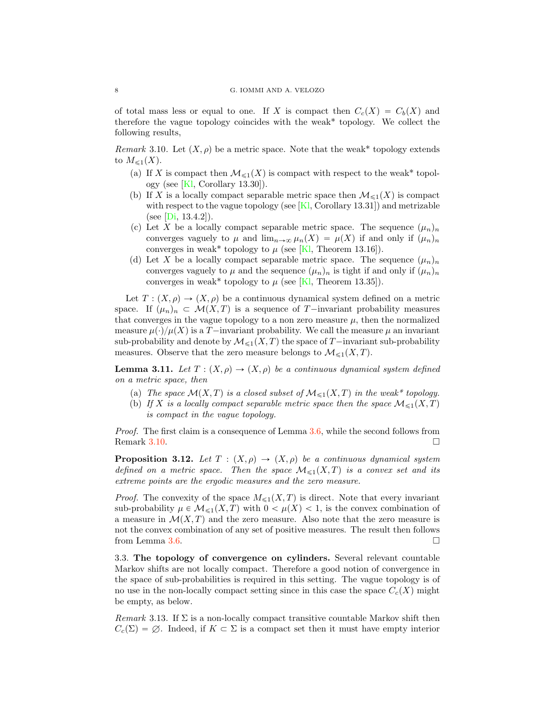<span id="page-7-3"></span>of total mass less or equal to one. If X is compact then  $C_c(X) = C_b(X)$  and therefore the vague topology coincides with the weak\* topology. We collect the following results,

<span id="page-7-1"></span>Remark 3.10. Let  $(X, \rho)$  be a metric space. Note that the weak\* topology extends to  $M_{\leq 1}(X)$ .

- (a) If X is compact then  $\mathcal{M}_{\leq 1}(X)$  is compact with respect to the weak\* topology (see  $[Kl, Corollary 13.30]$  $[Kl, Corollary 13.30]$ ).
- (b) If X is a locally compact separable metric space then  $\mathcal{M}_{\leq 1}(X)$  is compact with respect to the vague topology (see  $[K]$ , Corollary 13.31) and metrizable (see [\[Di,](#page-30-19)  $13.4.2$ ]).
- (c) Let X be a locally compact separable metric space. The sequence  $(\mu_n)_n$ converges vaguely to  $\mu$  and  $\lim_{n\to\infty} \mu_n(X) = \mu(X)$  if and only if  $(\mu_n)_n$ converges in weak\* topology to  $\mu$  (see [\[Kl,](#page-30-16) Theorem 13.16]).
- (d) Let X be a locally compact separable metric space. The sequence  $(\mu_n)_n$ converges vaguely to  $\mu$  and the sequence  $(\mu_n)_n$  is tight if and only if  $(\mu_n)_n$ converges in weak\* topology to  $\mu$  (see [\[Kl,](#page-30-16) Theorem 13.35]).

Let  $T: (X, \rho) \to (X, \rho)$  be a continuous dynamical system defined on a metric space. If  $(\mu_n)_n \subset \mathcal{M}(X, T)$  is a sequence of T-invariant probability measures that converges in the vague topology to a non zero measure  $\mu$ , then the normalized measure  $\mu(\cdot)/\mu(X)$  is a T-invariant probability. We call the measure  $\mu$  an invariant sub-probability and denote by  $\mathcal{M}_{\leq 1}(X, T)$  the space of T-invariant sub-probability measures. Observe that the zero measure belongs to  $\mathcal{M}_{\leq 1}(X, T)$ .

<span id="page-7-2"></span>**Lemma 3.11.** Let  $T : (X, \rho) \to (X, \rho)$  be a continuous dynamical system defined on a metric space, then

- (a) The space  $\mathcal{M}(X, T)$  is a closed subset of  $\mathcal{M}_{\leq 1}(X, T)$  in the weak\* topology.
- (b) If X is a locally compact separable metric space then the space  $\mathcal{M}_{\leq 1}(X,T)$ is compact in the vague topology.

Proof. The first claim is a consequence of Lemma [3.6,](#page-6-0) while the second follows from Remark [3.10.](#page-7-1)  $\Box$ 

**Proposition 3.12.** Let  $T : (X, \rho) \rightarrow (X, \rho)$  be a continuous dynamical system defined on a metric space. Then the space  $\mathcal{M}_{\leq 1}(X,T)$  is a convex set and its extreme points are the ergodic measures and the zero measure.

*Proof.* The convexity of the space  $M_{\leq 1}(X, T)$  is direct. Note that every invariant sub-probability  $\mu \in \mathcal{M}_{\leq 1}(X, T)$  with  $0 < \mu(X) < 1$ , is the convex combination of a measure in  $\mathcal{M}(X, T)$  and the zero measure. Also note that the zero measure is not the convex combination of any set of positive measures. The result then follows from Lemma [3.6.](#page-6-0)  $\Box$ 

<span id="page-7-0"></span>3.3. The topology of convergence on cylinders. Several relevant countable Markov shifts are not locally compact. Therefore a good notion of convergence in the space of sub-probabilities is required in this setting. The vague topology is of no use in the non-locally compact setting since in this case the space  $C_c(X)$  might be empty, as below.

*Remark* 3.13. If  $\Sigma$  is a non-locally compact transitive countable Markov shift then  $C_c(\Sigma) = \emptyset$ . Indeed, if  $K \subset \Sigma$  is a compact set then it must have empty interior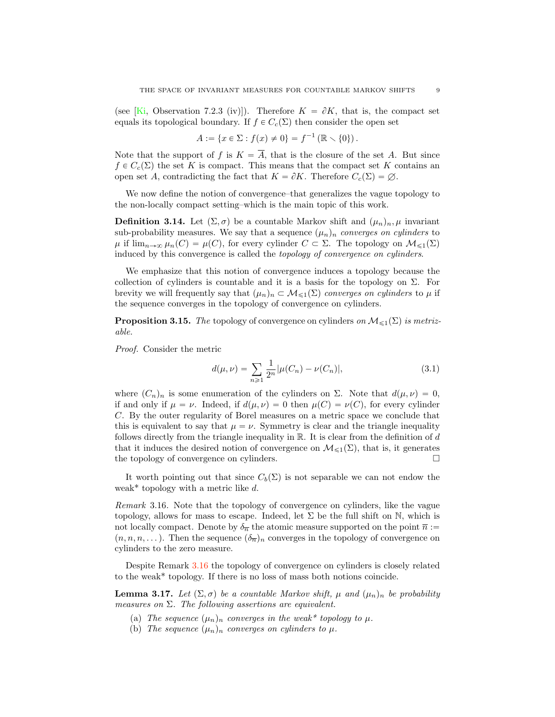<span id="page-8-5"></span>(see [\[Ki,](#page-30-11) Observation 7.2.3 (iv)]). Therefore  $K = \partial K$ , that is, the compact set equals its topological boundary. If  $f \in C_c(\Sigma)$  then consider the open set

$$
A := \{ x \in \Sigma : f(x) \neq 0 \} = f^{-1} (\mathbb{R} \setminus \{0\}).
$$

Note that the support of f is  $K = \overline{A}$ , that is the closure of the set A. But since  $f \in C_c(\Sigma)$  the set K is compact. This means that the compact set K contains an open set A, contradicting the fact that  $K = \partial K$ . Therefore  $C_c(\Sigma) = \emptyset$ .

We now define the notion of convergence–that generalizes the vague topology to the non-locally compact setting–which is the main topic of this work.

<span id="page-8-3"></span>**Definition 3.14.** Let  $(\Sigma, \sigma)$  be a countable Markov shift and  $(\mu_n)_n, \mu$  invariant sub-probability measures. We say that a sequence  $(\mu_n)_n$  converges on cylinders to  $\mu$  if  $\lim_{n\to\infty} \mu_n(C) = \mu(C)$ , for every cylinder  $C \subset \Sigma$ . The topology on  $\mathcal{M}_{\leq 1}(\Sigma)$ induced by this convergence is called the topology of convergence on cylinders.

We emphasize that this notion of convergence induces a topology because the collection of cylinders is countable and it is a basis for the topology on  $\Sigma$ . For brevity we will frequently say that  $(\mu_n)_n \subset \mathcal{M}_{\leq 1}(\Sigma)$  converges on cylinders to  $\mu$  if the sequence converges in the topology of convergence on cylinders.

<span id="page-8-0"></span>**Proposition 3.15.** The topology of convergence on cylinders on  $\mathcal{M}_{\leq 1}(\Sigma)$  is metrizable.

Proof. Consider the metric

<span id="page-8-4"></span>
$$
d(\mu, \nu) = \sum_{n \ge 1} \frac{1}{2^n} |\mu(C_n) - \nu(C_n)|,
$$
\n(3.1)

where  $(C_n)_n$  is some enumeration of the cylinders on Σ. Note that  $d(\mu, \nu) = 0$ , if and only if  $\mu = \nu$ . Indeed, if  $d(\mu, \nu) = 0$  then  $\mu(C) = \nu(C)$ , for every cylinder C. By the outer regularity of Borel measures on a metric space we conclude that this is equivalent to say that  $\mu = \nu$ . Symmetry is clear and the triangle inequality follows directly from the triangle inequality in  $\mathbb{R}$ . It is clear from the definition of d that it induces the desired notion of convergence on  $\mathcal{M}_{\leq 1}(\Sigma)$ , that is, it generates the topology of convergence on cylinders. the topology of convergence on cylinders.

It worth pointing out that since  $C_b(\Sigma)$  is not separable we can not endow the weak\* topology with a metric like  $d$ .

<span id="page-8-2"></span>Remark 3.16. Note that the topology of convergence on cylinders, like the vague topology, allows for mass to escape. Indeed, let  $\Sigma$  be the full shift on N, which is not locally compact. Denote by  $\delta_{\overline{n}}$  the atomic measure supported on the point  $\overline{n}$  :=  $(n, n, n, \dots)$ . Then the sequence  $(\delta_{\overline{n}})_n$  converges in the topology of convergence on cylinders to the zero measure.

Despite Remark [3.16](#page-8-2) the topology of convergence on cylinders is closely related to the weak\* topology. If there is no loss of mass both notions coincide.

<span id="page-8-1"></span>**Lemma 3.17.** Let  $(\Sigma, \sigma)$  be a countable Markov shift,  $\mu$  and  $(\mu_n)_n$  be probability measures on  $\Sigma$ . The following assertions are equivalent.

- (a) The sequence  $(\mu_n)_n$  converges in the weak\* topology to  $\mu$ .
- (b) The sequence  $(\mu_n)_n$  converges on cylinders to  $\mu$ .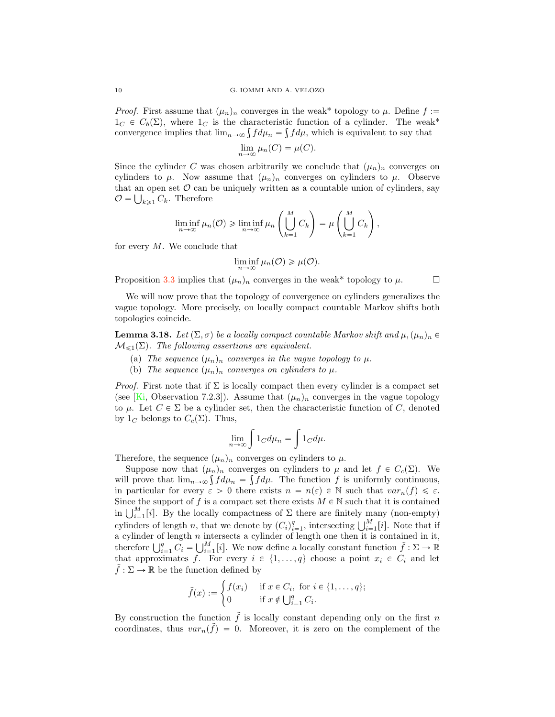<span id="page-9-1"></span>*Proof.* First assume that  $(\mu_n)_n$  converges in the weak\* topology to  $\mu$ . Define  $f :=$  $1_C \in C_b(\Sigma)$ , where  $1_C$  is the characteristic function of a cylinder. The weak\* convergence implies that  $\lim_{n\to\infty} \int f d\mu_n = \int f d\mu$ , which is equivalent to say that

$$
\lim_{n \to \infty} \mu_n(C) = \mu(C).
$$

Since the cylinder C was chosen arbitrarily we conclude that  $(\mu_n)_n$  converges on cylinders to  $\mu$ . Now assume that  $(\mu_n)_n$  converges on cylinders to  $\mu$ . Observe that an open set  $\mathcal O$  can be uniquely written as a countable union of cylinders, say  $\mathcal{O} = \bigcup_{k \geq 1} C_k$ . Therefore

$$
\liminf_{n \to \infty} \mu_n(\mathcal{O}) \geq \liminf_{n \to \infty} \mu_n\left(\bigcup_{k=1}^M C_k\right) = \mu\left(\bigcup_{k=1}^M C_k\right),
$$

for every  $M$ . We conclude that

$$
\liminf_{n\to\infty}\mu_n(\mathcal{O})\geqslant\mu(\mathcal{O}).
$$

Proposition [3.3](#page-5-0) implies that  $(\mu_n)_n$  converges in the weak\* topology to  $\mu$ .  $\Box$ 

We will now prove that the topology of convergence on cylinders generalizes the vague topology. More precisely, on locally compact countable Markov shifts both topologies coincide.

<span id="page-9-0"></span>**Lemma 3.18.** Let  $(\Sigma, \sigma)$  be a locally compact countable Markov shift and  $\mu, (\mu_n)_n \in$  $\mathcal{M}_{\leq 1}(\Sigma)$ . The following assertions are equivalent.

- (a) The sequence  $(\mu_n)_n$  converges in the vague topology to  $\mu$ .
- (b) The sequence  $(\mu_n)_n$  converges on cylinders to  $\mu$ .

*Proof.* First note that if  $\Sigma$  is locally compact then every cylinder is a compact set (see [\[Ki,](#page-30-11) Observation 7.2.3]). Assume that  $(\mu_n)_n$  converges in the vague topology to  $\mu$ . Let  $C \in \Sigma$  be a cylinder set, then the characteristic function of C, denoted by  $1_C$  belongs to  $C_c(\Sigma)$ . Thus,

$$
\lim_{n \to \infty} \int 1_C d\mu_n = \int 1_C d\mu.
$$

Therefore, the sequence  $(\mu_n)_n$  converges on cylinders to  $\mu$ .

Suppose now that  $(\mu_n)_n$  converges on cylinders to  $\mu$  and let  $f \in C_c(\Sigma)$ . We will prove that  $\lim_{n\to\infty} \int f d\mu_n = \int f d\mu$ . The function f is uniformly continuous, in particular for every  $\varepsilon > 0$  there exists  $n = n(\varepsilon) \in \mathbb{N}$  such that  $var_n(f) \leq \varepsilon$ . Since the support of f is a compact set there exists  $M \in \mathbb{N}$  such that it is contained in  $\bigcup_{i=1}^{M} [i]$ . By the locally compactness of  $\Sigma$  there are finitely many (non-empty) cylinders of length n, that we denote by  $(C_i)_{i=1}^q$ , intersecting  $\bigcup_{i=1}^M [i]$ . Note that if a cylinder of length  $n$  intersects a cylinder of length one then it is contained in it, therefore  $\bigcup_{i=1}^q C_i = \bigcup_{i=1}^M [i]$ . We now define a locally constant function  $\tilde{f} : \Sigma \to \mathbb{R}$ that approximates f. For every  $i \in \{1, \ldots, q\}$  choose a point  $x_i \in C_i$  and let  $\tilde{f} : \Sigma \to \mathbb{R}$  be the function defined by

$$
\tilde{f}(x) := \begin{cases} f(x_i) & \text{if } x \in C_i, \text{ for } i \in \{1, \dots, q\}; \\ 0 & \text{if } x \notin \bigcup_{i=1}^q C_i. \end{cases}
$$

By construction the function  $\tilde{f}$  is locally constant depending only on the first n coordinates, thus  $var_n(\tilde{f}) = 0$ . Moreover, it is zero on the complement of the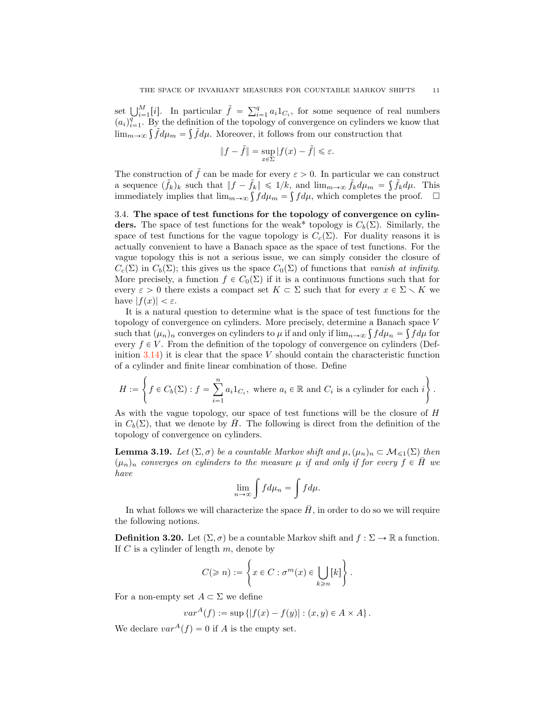set  $\bigcup_{i=1}^{M} [i]$ . In particular  $\tilde{f} = \sum_{i=1}^{q} a_i 1_{C_i}$ , for some sequence of real numbers  $(a_i)_{i=1}^{\tilde{q}}$ . By the definition of the topology of convergence on cylinders we know that  $\lim_{m\to\infty} \int \tilde{f} d\mu_m = \int \tilde{f} d\mu$ . Moreover, it follows from our construction that

$$
||f - \tilde{f}|| = \sup_{x \in \Sigma} |f(x) - \tilde{f}| \le \varepsilon.
$$

The construction of  $\tilde{f}$  can be made for every  $\varepsilon > 0$ . In particular we can construct a sequence  $(\tilde{f}_k)_k$  such that  $||f - \tilde{f}_k|| \leq 1/k$ , and  $\lim_{m\to\infty} \tilde{f}_k d\mu = \int \tilde{f}_k d\mu$ . This immediately implies that  $\lim_{m\to\infty} \int f d\mu_m = \int f d\mu$ , which completes the proof.  $\Box$ 

3.4. The space of test functions for the topology of convergence on cylinders. The space of test functions for the weak\* topology is  $C_b(\Sigma)$ . Similarly, the space of test functions for the vague topology is  $C_c(\Sigma)$ . For duality reasons it is actually convenient to have a Banach space as the space of test functions. For the vague topology this is not a serious issue, we can simply consider the closure of  $C_c(\Sigma)$  in  $C_b(\Sigma)$ ; this gives us the space  $C_0(\Sigma)$  of functions that vanish at infinity. More precisely, a function  $f \in C_0(\Sigma)$  if it is a continuous functions such that for every  $\varepsilon > 0$  there exists a compact set  $K \subset \Sigma$  such that for every  $x \in \Sigma \setminus K$  we have  $|f(x)| < \varepsilon$ .

It is a natural question to determine what is the space of test functions for the topology of convergence on cylinders. More precisely, determine a Banach space V such that  $(\mu_n)_n$  converges on cylinders to  $\mu$  if and only if  $\lim_{n\to\infty} \int f d\mu_n = \int f d\mu$  for every  $f \in V$ . From the definition of the topology of convergence on cylinders (Definition  $3.14$ ) it is clear that the space V should contain the characteristic function of a cylinder and finite linear combination of those. Define

$$
H := \left\{ f \in C_b(\Sigma) : f = \sum_{i=1}^n a_i 1_{C_i}, \text{ where } a_i \in \mathbb{R} \text{ and } C_i \text{ is a cylinder for each } i \right\}.
$$

As with the vague topology, our space of test functions will be the closure of H in  $C_b(\Sigma)$ , that we denote by  $\bar{H}$ . The following is direct from the definition of the topology of convergence on cylinders.

**Lemma 3.19.** Let  $(\Sigma, \sigma)$  be a countable Markov shift and  $\mu$ ,  $(\mu_n)_n \subset M_{\leq 1}(\Sigma)$  then  $(\mu_n)_n$  converges on cylinders to the measure  $\mu$  if and only if for every  $f \in \overline{H}$  we have

$$
\lim_{n \to \infty} \int f d\mu_n = \int f d\mu.
$$

In what follows we will characterize the space  $\bar{H}$ , in order to do so we will require the following notions.

**Definition 3.20.** Let  $(\Sigma, \sigma)$  be a countable Markov shift and  $f : \Sigma \to \mathbb{R}$  a function. If  $C$  is a cylinder of length  $m$ , denote by

$$
C(\geqslant n):=\left\{x\in C:\sigma^m(x)\in \bigcup_{k\geqslant n}[k]\right\}.
$$

For a non-empty set  $A \subset \Sigma$  we define

$$
var^{A}(f) := \sup \{|f(x) - f(y)| : (x, y) \in A \times A\}.
$$

We declare  $var^A(f) = 0$  if A is the empty set.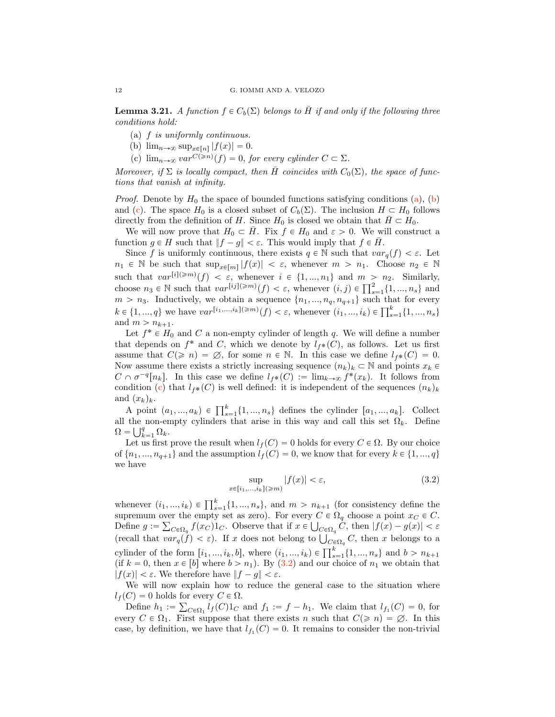**Lemma 3.21.** A function  $f \in C_b(\Sigma)$  belongs to H if and only if the following three conditions hold:

- (a) f is uniformly continuous.
- (b)  $\lim_{n\to\infty} \sup_{x\in[n]} |f(x)| = 0.$
- <span id="page-11-1"></span>(c)  $\lim_{n\to\infty} var^{C(\geq n)}(f) = 0$ , for every cylinder  $C \subset \Sigma$ .

Moreover, if  $\Sigma$  is locally compact, then H coincides with  $C_0(\Sigma)$ , the space of functions that vanish at infinity.

*Proof.* Denote by  $H_0$  the space of bounded functions satisfying conditions [\(a\)](#page-24-0), [\(b\)](#page-24-1) and [\(c\)](#page-11-1). The space  $H_0$  is a closed subset of  $C_b(\Sigma)$ . The inclusion  $H \subset H_0$  follows directly from the definition of H. Since  $H_0$  is closed we obtain that  $\bar{H} \subset H_0$ .

We will now prove that  $H_0 \subset H$ . Fix  $f \in H_0$  and  $\varepsilon > 0$ . We will construct a function  $g \in H$  such that  $||f - g|| < \varepsilon$ . This would imply that  $f \in \overline{H}$ .

Since f is uniformly continuous, there exists  $q \in \mathbb{N}$  such that  $var_q(f) < \varepsilon$ . Let  $n_1 \in \mathbb{N}$  be such that  $\sup_{x \in [m]} |f(x)| < \varepsilon$ , whenever  $m > n_1$ . Choose  $n_2 \in \mathbb{N}$ such that  $var^{[i](\geq m)}(f) < \varepsilon$ , whenever  $i \in \{1, ..., n_1\}$  and  $m > n_2$ . Similarly, choose  $n_3 \in \mathbb{N}$  such that  $var^{[ij](\geq m)}(f) < \varepsilon$ , whenever  $(i, j) \in \prod_{s=1}^2 \{1, ..., n_s\}$  and  $m > n_3$ . Inductively, we obtain a sequence  $\{n_1, ..., n_q, n_{q+1}\}$  such that for every  $k \in \{1, ..., q\}$  we have  $var^{[i_1, ..., i_k](\geq m)}(f) < \varepsilon$ , whenever  $(i_1, ..., i_k) \in \prod_{s=1}^k \{1, ..., n_s\}$ and  $m > n_{k+1}$ .

Let  $f^* \in H_0$  and C a non-empty cylinder of length q. We will define a number that depends on  $f^*$  and C, which we denote by  $l_{f^*}(C)$ , as follows. Let us first assume that  $C(\geq n) = \emptyset$ , for some  $n \in \mathbb{N}$ . In this case we define  $l_{f*}(C) = 0$ . Now assume there exists a strictly increasing sequence  $(n_k)_k \subset \mathbb{N}$  and points  $x_k \in$  $C \cap \sigma^{-q}[n_k]$ . In this case we define  $l_f \ast (C) := \lim_{k \to \infty} f^*(x_k)$ . It follows from condition [\(c\)](#page-11-1) that  $l_{f^*}(C)$  is well defined: it is independent of the sequences  $(n_k)_k$ and  $(x_k)_k$ .

A point  $(a_1, ..., a_k) \in \prod_{s=1}^k \{1, ..., n_s\}$  defines the cylinder  $[a_1, ..., a_k]$ . Collect all the non-empty cylinders that arise in this way and call this set  $\Omega_k$ . Define  $\Omega = \bigcup_{k=1}^{q} \Omega_k.$ 

Let us first prove the result when  $l_f(C) = 0$  holds for every  $C \in \Omega$ . By our choice of  $\{n_1, ..., n_{q+1}\}$  and the assumption  $l_f(C) = 0$ , we know that for every  $k \in \{1, ..., q\}$ we have

<span id="page-11-0"></span>
$$
\sup_{x \in [i_1, \dots, i_k](\ge m)} |f(x)| < \varepsilon,\tag{3.2}
$$

whenever  $(i_1, ..., i_k) \in \prod_{s=1}^k \{1, ..., n_s\}$ , and  $m > n_{k+1}$  (for consistency define the supremum over the empty set as zero). For every  $C \in \Omega_q$  choose a point  $x_C \in C$ . Define  $g := \sum_{C \in \Omega_q} f(x_C) 1_C$ . Observe that if  $x \in \bigcup_{C \in \Omega_q} C$ , then  $|f(x) - g(x)| < \varepsilon$ (recall that  $var_q(\dot{f}) < \varepsilon$ ). If x does not belong to  $\bigcup_{C \in \Omega_q} C$ , then x belongs to a cylinder of the form  $[i_1, ..., i_k, b]$ , where  $(i_1, ..., i_k) \in \prod_{s=1}^k \{1, ..., n_s\}$  and  $b > n_{k+1}$ (if  $k = 0$ , then  $x \in [b]$  where  $b > n_1$ ). By [\(3.2\)](#page-11-0) and our choice of  $n_1$  we obtain that  $|f(x)| < \varepsilon$ . We therefore have  $||f - g|| < \varepsilon$ .

We will now explain how to reduce the general case to the situation where  $l_f(C) = 0$  holds for every  $C \in \Omega$ .

Define  $h_1 := \sum_{C \in \Omega_1} l_f(C) 1_C$  and  $f_1 := f - h_1$ . We claim that  $l_{f_1}(C) = 0$ , for every  $C \in \Omega_1$ . First suppose that there exists n such that  $C(\geq n) = \emptyset$ . In this case, by definition, we have that  $l_{f_1}(C) = 0$ . It remains to consider the non-trivial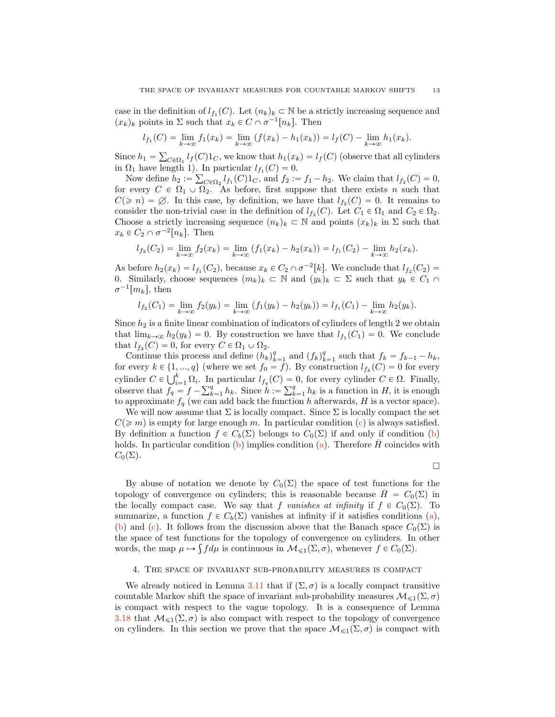case in the definition of  $l_{f_1}(C)$ . Let  $(n_k)_k \subset \mathbb{N}$  be a strictly increasing sequence and  $(x_k)_k$  points in  $\Sigma$  such that  $x_k \in C \cap \sigma^{-1}[n_k]$ . Then

$$
l_{f_1}(C) = \lim_{k \to \infty} f_1(x_k) = \lim_{k \to \infty} (f(x_k) - h_1(x_k)) = l_f(C) - \lim_{k \to \infty} h_1(x_k).
$$

Since  $h_1 = \sum_{C \in \Omega_1} l_f(C) 1_C$ , we know that  $h_1(x_k) = l_f(C)$  (observe that all cylinders in  $\Omega_1$  have length 1). In particular  $l_{f_1}(C) = 0$ .

Now define  $h_2 := \sum_{C \in \Omega_2} l_{f_1}(C) 1_C$ , and  $f_2 := f_1 - h_2$ . We claim that  $l_{f_2}(C) = 0$ , for every  $C \in \Omega_1 \cup \Omega_2$ . As before, first suppose that there exists n such that  $C(\geq n) = \emptyset$ . In this case, by definition, we have that  $l_{f_2}(C) = 0$ . It remains to consider the non-trivial case in the definition of  $l_{f_2}(C)$ . Let  $C_1 \in \Omega_1$  and  $C_2 \in \Omega_2$ . Choose a strictly increasing sequence  $(n_k)_k \subset \mathbb{N}$  and points  $(x_k)_k$  in  $\Sigma$  such that  $x_k \in C_2 \cap \sigma^{-2}[n_k]$ . Then

$$
l_{f_2}(C_2) = \lim_{k \to \infty} f_2(x_k) = \lim_{k \to \infty} (f_1(x_k) - h_2(x_k)) = l_{f_1}(C_2) - \lim_{k \to \infty} h_2(x_k).
$$

As before  $h_2(x_k) = l_{f_1}(C_2)$ , because  $x_k \in C_2 \cap \sigma^{-2}[k]$ . We conclude that  $l_{f_2}(C_2)$  = 0. Similarly, choose sequences  $(m_k)_k \subset \mathbb{N}$  and  $(y_k)_k \subset \Sigma$  such that  $y_k \in C_1 \cap$  $\sigma^{-1}[m_k],$  then

$$
l_{f_2}(C_1) = \lim_{k \to \infty} f_2(y_k) = \lim_{k \to \infty} (f_1(y_k) - h_2(y_k)) = l_{f_1}(C_1) - \lim_{k \to \infty} h_2(y_k).
$$

Since  $h_2$  is a finite linear combination of indicators of cylinders of length 2 we obtain that  $\lim_{k\to\infty} h_2(y_k) = 0$ . By construction we have that  $l_{f_1}(C_1) = 0$ . We conclude that  $l_{f_2}(C) = 0$ , for every  $C \in \Omega_1 \cup \Omega_2$ .

Continue this process and define  $(h_k)_{k=1}^q$  and  $(f_k)_{k=1}^q$  such that  $f_k = f_{k-1} - h_k$ , for every  $k \in \{1, ..., q\}$  (where we set  $f_0 = f$ ). By construction  $l_{f_k}(C) = 0$  for every cylinder  $C \in \bigcup_{i=1}^k \Omega_i$ . In particular  $l_{f_q}(C) = 0$ , for every cylinder  $C \in \Omega$ . Finally, observe that  $f_q = f - \sum_{k=1}^q h_k$ . Since  $h := \sum_{k=1}^q h_k$  is a function in H, it is enough to approximate  $f_q$  (we can add back the function h afterwards, H is a vector space).

We will now assume that  $\Sigma$  is locally compact. Since  $\Sigma$  is locally compact the set  $C(\geqslant m)$  is empty for large enough m. In particular condition [\(c\)](#page-11-1) is always satisfied. By definition a function  $f \in C_b(\Sigma)$  belongs to  $C_0(\Sigma)$  if and only if condition [\(b\)](#page-24-1) holds. In particular condition [\(b\)](#page-24-1) implies condition [\(a\)](#page-24-0). Therefore  $\bar{H}$  coincides with  $C_0(\Sigma)$ .

 $\Box$ 

By abuse of notation we denote by  $C_0(\Sigma)$  the space of test functions for the topology of convergence on cylinders; this is reasonable because  $H = C_0(\Sigma)$  in the locally compact case. We say that f vanishes at infinity if  $f \in C_0(\Sigma)$ . To summarize, a function  $f \in C_b(\Sigma)$  vanishes at infinity if it satisfies conditions [\(a\)](#page-24-0), [\(b\)](#page-24-1) and [\(c\)](#page-11-1). It follows from the discussion above that the Banach space  $C_0(\Sigma)$  is the space of test functions for the topology of convergence on cylinders. In other words, the map  $\mu \mapsto \int f d\mu$  is continuous in  $\mathcal{M}_{\leq 1}(\Sigma, \sigma)$ , whenever  $f \in C_0(\Sigma)$ .

## 4. The space of invariant sub-probability measures is compact

We already noticed in Lemma [3.11](#page-7-2) that if  $(\Sigma, \sigma)$  is a locally compact transitive countable Markov shift the space of invariant sub-probability measures  $\mathcal{M}_{\leq 1}(\Sigma, \sigma)$ is compact with respect to the vague topology. It is a consequence of Lemma [3.18](#page-9-0) that  $\mathcal{M}_{\leq 1}(\Sigma, \sigma)$  is also compact with respect to the topology of convergence on cylinders. In this section we prove that the space  $\mathcal{M}_{\leq 1}(\Sigma, \sigma)$  is compact with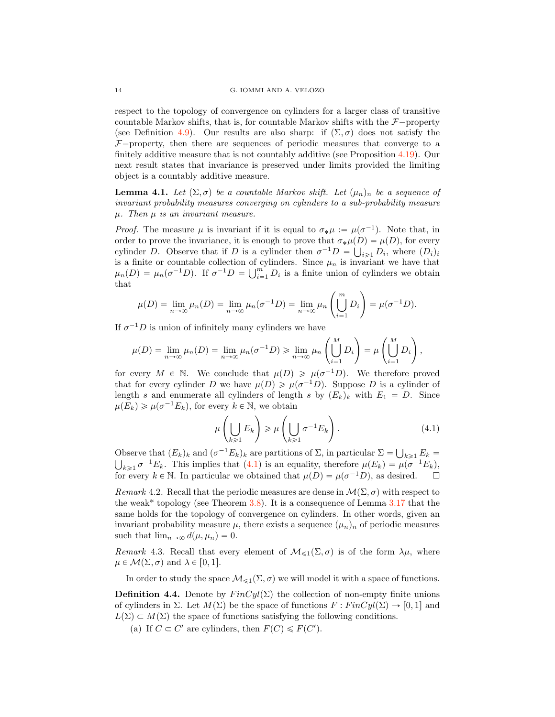respect to the topology of convergence on cylinders for a larger class of transitive countable Markov shifts, that is, for countable Markov shifts with the  $\mathcal{F}-$ property (see Definition [4.9\)](#page-15-0). Our results are also sharp: if  $(\Sigma, \sigma)$  does not satisfy the  $F$ <sup>-</sup>property, then there are sequences of periodic measures that converge to a finitely additive measure that is not countably additive (see Proposition [4.19\)](#page-19-0). Our next result states that invariance is preserved under limits provided the limiting object is a countably additive measure.

<span id="page-13-1"></span>**Lemma 4.1.** Let  $(\Sigma, \sigma)$  be a countable Markov shift. Let  $(\mu_n)_n$  be a sequence of invariant probability measures converging on cylinders to a sub-probability measure  $\mu$ . Then  $\mu$  is an invariant measure.

*Proof.* The measure  $\mu$  is invariant if it is equal to  $\sigma_*\mu := \mu(\sigma^{-1})$ . Note that, in order to prove the invariance, it is enough to prove that  $\sigma_*\mu(D) = \mu(D)$ , for every cylinder D. Observe that if D is a cylinder then  $\sigma^{-1}D = \bigcup_{i \geq 1} D_i$ , where  $(D_i)_i$ is a finite or countable collection of cylinders. Since  $\mu_n$  is invariant we have that  $\mu_n(D) = \mu_n(\sigma^{-1}D)$ . If  $\sigma^{-1}D = \bigcup_{i=1}^m D_i$  is a finite union of cylinders we obtain that

$$
\mu(D) = \lim_{n \to \infty} \mu_n(D) = \lim_{n \to \infty} \mu_n(\sigma^{-1}D) = \lim_{n \to \infty} \mu_n\left(\bigcup_{i=1}^m D_i\right) = \mu(\sigma^{-1}D).
$$

If  $\sigma^{-1}D$  is union of infinitely many cylinders we have

$$
\mu(D) = \lim_{n \to \infty} \mu_n(D) = \lim_{n \to \infty} \mu_n(\sigma^{-1}D) \ge \lim_{n \to \infty} \mu_n\left(\bigcup_{i=1}^M D_i\right) = \mu\left(\bigcup_{i=1}^M D_i\right),
$$

for every  $M \in \mathbb{N}$ . We conclude that  $\mu(D) \geq \mu(\sigma^{-1}D)$ . We therefore proved that for every cylinder D we have  $\mu(D) \geq \mu(\sigma^{-1}D)$ . Suppose D is a cylinder of length s and enumerate all cylinders of length s by  $(E_k)_k$  with  $E_1 = D$ . Since  $\mu(E_k) \geq \mu(\sigma^{-1}E_k)$ , for every  $k \in \mathbb{N}$ , we obtain

<span id="page-13-0"></span>
$$
\mu\left(\bigcup_{k\geqslant 1} E_k\right) \geqslant \mu\left(\bigcup_{k\geqslant 1} \sigma^{-1} E_k\right). \tag{4.1}
$$

Observe that  $(E_k)_k$  and  $(\sigma^{-1}E_k)_k$  are partitions of  $\Sigma$ , in particular  $\Sigma = \bigcup_{k \geq 1} E_k = \prod_{k>1} \sigma^{-1}E_k$ . This implies that (4.1) is an equality, therefore  $\mu(E_k) = \mu(\sigma^{-1}E_k)$ .  $\bigcup_{k\geq 1} \sigma^{-1}E_k$ . This implies that  $(4.1)$  is an equality, therefore  $\mu(E_k) = \mu(\sigma^{-1}E_k)$ , for every  $k \in \mathbb{N}$ . In particular we obtained that  $\mu(D) = \mu(\sigma^{-1}D)$ , as desired.

<span id="page-13-2"></span>Remark 4.2. Recall that the periodic measures are dense in  $\mathcal{M}(\Sigma, \sigma)$  with respect to the weak\* topology (see Theorem  $3.8$ ). It is a consequence of Lemma  $3.17$  that the same holds for the topology of convergence on cylinders. In other words, given an invariant probability measure  $\mu$ , there exists a sequence  $(\mu_n)_n$  of periodic measures such that  $\lim_{n\to\infty} d(\mu, \mu_n) = 0.$ 

*Remark* 4.3. Recall that every element of  $\mathcal{M}_{\leq 1}(\Sigma, \sigma)$  is of the form  $\lambda \mu$ , where  $\mu \in \mathcal{M}(\Sigma, \sigma)$  and  $\lambda \in [0, 1].$ 

In order to study the space  $\mathcal{M}_{\leq 1}(\Sigma, \sigma)$  we will model it with a space of functions.

<span id="page-13-3"></span>**Definition 4.4.** Denote by  $FinCyl(\Sigma)$  the collection of non-empty finite unions of cylinders in  $\Sigma$ . Let  $M(\Sigma)$  be the space of functions  $F : FinCyl(\Sigma) \to [0, 1]$  and  $L(\Sigma) \subset M(\Sigma)$  the space of functions satisfying the following conditions.

(a) If  $C \subset C'$  are cylinders, then  $F(C) \leq F(C')$ .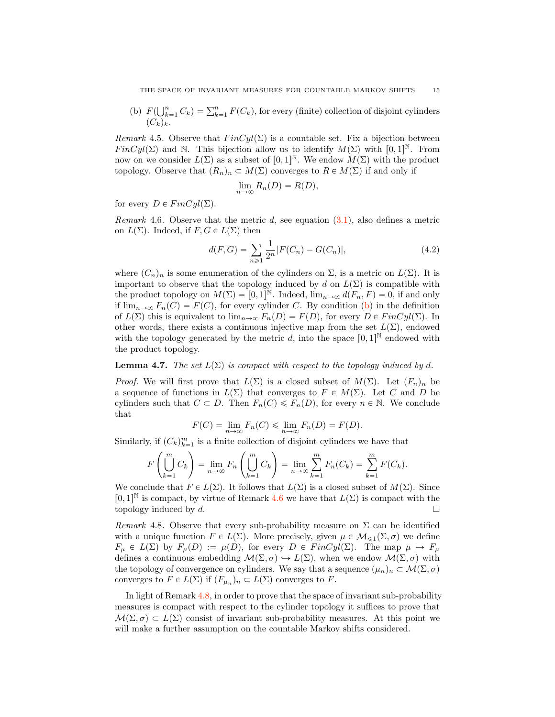<span id="page-14-1"></span>(b)  $F(\bigcup_{k=1}^{n} C_k) = \sum_{k=1}^{n} F(C_k)$ , for every (finite) collection of disjoint cylinders  $(C_k)_k$ .

Remark 4.5. Observe that  $FinCyl(\Sigma)$  is a countable set. Fix a bijection between  $FinCyl(\Sigma)$  and N. This bijection allow us to identify  $M(\Sigma)$  with  $[0, 1]^{\mathbb{N}}$ . From now on we consider  $L(\Sigma)$  as a subset of  $[0, 1]^{\mathbb{N}}$ . We endow  $M(\Sigma)$  with the product topology. Observe that  $(R_n)_n \subset M(\Sigma)$  converges to  $R \in M(\Sigma)$  if and only if

$$
\lim_{n\to\infty} R_n(D) = R(D),
$$

for every  $D \in FinCyl(\Sigma)$ .

<span id="page-14-2"></span>*Remark* 4.6. Observe that the metric  $d$ , see equation  $(3.1)$ , also defines a metric on  $L(\Sigma)$ . Indeed, if  $F, G \in L(\Sigma)$  then

$$
d(F, G) = \sum_{n \ge 1} \frac{1}{2^n} |F(C_n) - G(C_n)|,
$$
\n(4.2)

where  $(C_n)_n$  is some enumeration of the cylinders on  $\Sigma$ , is a metric on  $L(\Sigma)$ . It is important to observe that the topology induced by d on  $L(\Sigma)$  is compatible with the product topology on  $M(\Sigma) = [0, 1]^{\mathbb{N}}$ . Indeed,  $\lim_{n\to\infty} d(F_n, F) = 0$ , if and only if  $\lim_{n\to\infty} F_n(C) = F(C)$ , for every cylinder C. By condition [\(b\)](#page-14-1) in the definition of  $L(\Sigma)$  this is equivalent to  $\lim_{n\to\infty} F_n(D) = F(D)$ , for every  $D \in FinCyl(\Sigma)$ . In other words, there exists a continuous injective map from the set  $L(\Sigma)$ , endowed with the topology generated by the metric  $d$ , into the space  $[0, 1]^{\mathbb{N}}$  endowed with the product topology.

#### **Lemma 4.7.** The set  $L(\Sigma)$  is compact with respect to the topology induced by d.

*Proof.* We will first prove that  $L(\Sigma)$  is a closed subset of  $M(\Sigma)$ . Let  $(F_n)_n$  be a sequence of functions in  $L(\Sigma)$  that converges to  $F \in M(\Sigma)$ . Let C and D be cylinders such that  $C \subset D$ . Then  $F_n(C) \leq F_n(D)$ , for every  $n \in \mathbb{N}$ . We conclude that

$$
F(C) = \lim_{n \to \infty} F_n(C) \le \lim_{n \to \infty} F_n(D) = F(D).
$$

Similarly, if  $(C_k)_{k=1}^m$  is a finite collection of disjoint cylinders we have that

$$
F\left(\bigcup_{k=1}^m C_k\right) = \lim_{n \to \infty} F_n\left(\bigcup_{k=1}^m C_k\right) = \lim_{n \to \infty} \sum_{k=1}^m F_n(C_k) = \sum_{k=1}^m F(C_k).
$$

We conclude that  $F \in L(\Sigma)$ . It follows that  $L(\Sigma)$  is a closed subset of  $M(\Sigma)$ . Since  $[0, 1]^{\mathbb{N}}$  is compact, by virtue of Remark [4.6](#page-14-2) we have that  $L(\Sigma)$  is compact with the topology induced by  $d$ .

<span id="page-14-0"></span>Remark 4.8. Observe that every sub-probability measure on  $\Sigma$  can be identified with a unique function  $F \in L(\Sigma)$ . More precisely, given  $\mu \in \mathcal{M}_{\leq 1}(\Sigma, \sigma)$  we define  $F_{\mu} \in L(\Sigma)$  by  $F_{\mu}(D) := \mu(D)$ , for every  $D \in FinCyl(\Sigma)$ . The map  $\mu \mapsto F_{\mu}$ defines a continuous embedding  $\mathcal{M}(\Sigma, \sigma) \hookrightarrow L(\Sigma)$ , when we endow  $\mathcal{M}(\Sigma, \sigma)$  with the topology of convergence on cylinders. We say that a sequence  $(\mu_n)_n \subset \mathcal{M}(\Sigma, \sigma)$ converges to  $F \in L(\Sigma)$  if  $(F_{\mu_n})_n \subset L(\Sigma)$  converges to F.

In light of Remark [4.8,](#page-14-0) in order to prove that the space of invariant sub-probability measures is compact with respect to the cylinder topology it suffices to prove that  $\mathcal{M}(\Sigma, \sigma) \subset L(\Sigma)$  consist of invariant sub-probability measures. At this point we will make a further assumption on the countable Markov shifts considered.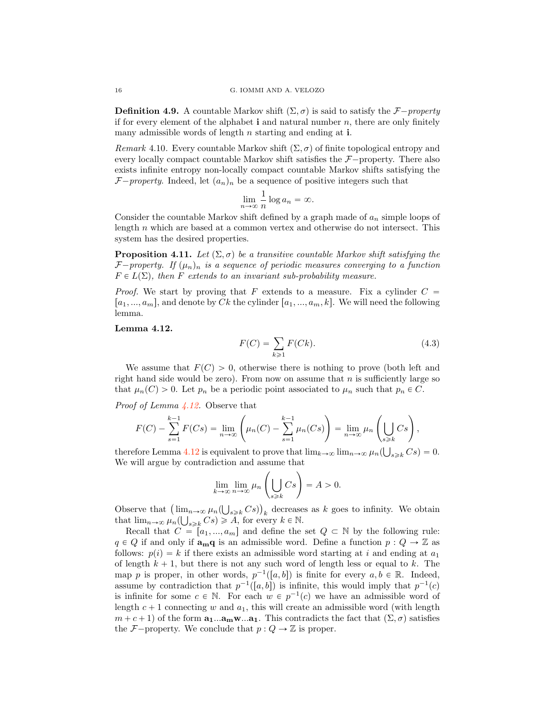<span id="page-15-0"></span>**Definition 4.9.** A countable Markov shift  $(\Sigma, \sigma)$  is said to satisfy the *F* $-property$ if for every element of the alphabet  $\mathbf i$  and natural number  $n$ , there are only finitely many admissible words of length  $n$  starting and ending at  $i$ .

Remark 4.10. Every countable Markov shift  $(\Sigma, \sigma)$  of finite topological entropy and every locally compact countable Markov shift satisfies the  $\mathcal{F}-$  property. There also exists infinite entropy non-locally compact countable Markov shifts satisfying the  $F$ <sup>-</sup>property. Indeed, let  $(a_n)_n$  be a sequence of positive integers such that

$$
\lim_{n \to \infty} \frac{1}{n} \log a_n = \infty.
$$

Consider the countable Markov shift defined by a graph made of  $a_n$  simple loops of length  $n$  which are based at a common vertex and otherwise do not intersect. This system has the desired properties.

<span id="page-15-2"></span>**Proposition 4.11.** Let  $(\Sigma, \sigma)$  be a transitive countable Markov shift satisfying the *F* $-p$ roperty. If  $(\mu_n)_n$  is a sequence of periodic measures converging to a function  $F \in L(\Sigma)$ , then F extends to an invariant sub-probability measure.

*Proof.* We start by proving that F extends to a measure. Fix a cylinder  $C =$  $[a_1, ..., a_m]$ , and denote by Ck the cylinder  $[a_1, ..., a_m, k]$ . We will need the following lemma.

#### <span id="page-15-1"></span>Lemma 4.12.

$$
F(C) = \sum_{k \ge 1} F(Ck). \tag{4.3}
$$

We assume that  $F(C) > 0$ , otherwise there is nothing to prove (both left and right hand side would be zero). From now on assume that  $n$  is sufficiently large so that  $\mu_n(C) > 0$ . Let  $p_n$  be a periodic point associated to  $\mu_n$  such that  $p_n \in C$ .

Proof of Lemma [4.12.](#page-15-1) Observe that

$$
F(C) - \sum_{s=1}^{k-1} F(Cs) = \lim_{n \to \infty} \left( \mu_n(C) - \sum_{s=1}^{k-1} \mu_n(Cs) \right) = \lim_{n \to \infty} \mu_n \left( \bigcup_{s \ge k} Cs \right),
$$

therefore Lemma [4.12](#page-15-1) is equivalent to prove that  $\lim_{k\to\infty} \lim_{n\to\infty} \mu_n(\bigcup_{s\geq k} Cs) = 0$ . We will argue by contradiction and assume that

$$
\lim_{k \to \infty} \lim_{n \to \infty} \mu_n \left( \bigcup_{s \ge k} Cs \right) = A > 0.
$$

Observe that  $\left(\lim_{n\to\infty}\mu_n(\bigcup_{s\geq k}Cs)\right)_k$  decreases as k goes to infinity. We obtain that  $\lim_{n\to\infty} \mu_n(\bigcup_{s\geq k} Cs) \geq A$ , for every  $k \in \mathbb{N}$ .

Recall that  $C = [a_1, ..., a_m]$  and define the set  $Q \subset \mathbb{N}$  by the following rule:  $q \in Q$  if and only if  $\mathbf{a}_{m}q$  is an admissible word. Define a function  $p : Q \to \mathbb{Z}$  as follows:  $p(i) = k$  if there exists an admissible word starting at i and ending at  $a_1$ of length  $k + 1$ , but there is not any such word of length less or equal to k. The map p is proper, in other words,  $p^{-1}([a, b])$  is finite for every  $a, b \in \mathbb{R}$ . Indeed, assume by contradiction that  $p^{-1}([a, b])$  is infinite, this would imply that  $p^{-1}(c)$ is infinite for some  $c \in \mathbb{N}$ . For each  $w \in p^{-1}(c)$  we have an admissible word of length  $c + 1$  connecting w and  $a_1$ , this will create an admissible word (with length  $m + c + 1$ ) of the form  $\mathbf{a}_1 \dots \mathbf{a}_m \mathbf{w} \dots \mathbf{a}_1$ . This contradicts the fact that  $(\Sigma, \sigma)$  satisfies the *F*-property. We conclude that  $p : Q \to \mathbb{Z}$  is proper.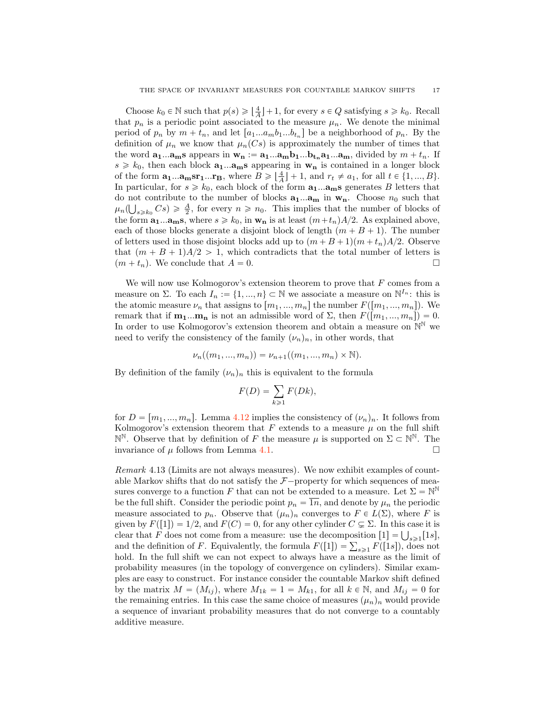Choose  $k_0 \in \mathbb{N}$  such that  $p(s) \geqslant \lfloor \frac{4}{A} \rfloor + 1$ , for every  $s \in Q$  satisfying  $s \geqslant k_0$ . Recall that  $p_n$  is a periodic point associated to the measure  $\mu_n$ . We denote the minimal period of  $p_n$  by  $m + t_n$ , and let  $[a_1...a_mb_1...b_{t_n}]$  be a neighborhood of  $p_n$ . By the definition of  $\mu_n$  we know that  $\mu_n(Cs)$  is approximately the number of times that the word  $\mathbf{a_1} \dots \mathbf{a_m} \mathbf{s}$  appears in  $\mathbf{w_n} := \mathbf{a_1} \dots \mathbf{a_m} \mathbf{b_1} \dots \mathbf{b_{t_n}} \mathbf{a_1} \dots \mathbf{a_m}$ , divided by  $m + t_n$ . If  $s \geq k_0$ , then each block  $\mathbf{a}_1...\mathbf{a}_m$ s appearing in  $\mathbf{w}_n$  is contained in a longer block of the form  $\mathbf{a_1} \dots \mathbf{a_m} \mathbf{sr_1} \dots \mathbf{r_B}$ , where  $B \geqslant \lfloor \frac{4}{A} \rfloor + 1$ , and  $r_t \neq a_1$ , for all  $t \in \{1, ..., B\}$ . In particular, for  $s \geq k_0$ , each block of the form  $\mathbf{a}_1...\mathbf{a}_m$ s generates B letters that do not contribute to the number of blocks  $a_1...a_m$  in  $w_n$ . Choose  $n_0$  such that  $\mu_n(\bigcup_{s\geq k_0} Cs) \geq \frac{A}{2}$ , for every  $n \geq n_0$ . This implies that the number of blocks of the form  $\mathbf{a_1}...\mathbf{a_m}\mathbf{s}$ , where  $s \geq k_0$ , in  $\mathbf{w_n}$  is at least  $(m+t_n)A/2$ . As explained above, each of those blocks generate a disjoint block of length  $(m + B + 1)$ . The number of letters used in those disjoint blocks add up to  $(m + B + 1)(m + t_n)A/2$ . Observe that  $(m + B + 1)A/2 > 1$ , which contradicts that the total number of letters is  $(m + t_n)$ . We conclude that  $A = 0$ .  $(m + t_n)$ . We conclude that  $A = 0$ .

We will now use Kolmogorov's extension theorem to prove that  $F$  comes from a measure on  $\Sigma$ . To each  $I_n := \{1, ..., n\} \subset \mathbb{N}$  we associate a measure on  $\mathbb{N}^{I_n}$ : this is the atomic measure  $\nu_n$  that assigns to  $[m_1, ..., m_n]$  the number  $F([m_1, ..., m_n])$ . We remark that if  $\mathbf{m}_1...\mathbf{m}_n$  is not an admissible word of  $\Sigma$ , then  $F([m_1, ..., m_n]) = 0$ . In order to use Kolmogorov's extension theorem and obtain a measure on  $\mathbb{N}^{\mathbb{N}}$  we need to verify the consistency of the family  $(\nu_n)_n$ , in other words, that

$$
\nu_n((m_1, ..., m_n)) = \nu_{n+1}((m_1, ..., m_n) \times \mathbb{N}).
$$

By definition of the family  $(\nu_n)_n$  this is equivalent to the formula

$$
F(D) = \sum_{k \ge 1} F(Dk),
$$

for  $D = [m_1, ..., m_n]$ . Lemma [4.12](#page-15-1) implies the consistency of  $(\nu_n)_n$ . It follows from Kolmogorov's extension theorem that  $F$  extends to a measure  $\mu$  on the full shift  $\mathbb{N}^{\mathbb{N}}$ . Observe that by definition of *F* the measure *μ* is supported on  $\Sigma \subset \mathbb{N}^{\mathbb{N}}$ . The invariance of *μ* follows from Lemma 4.1. invariance of  $\mu$  follows from Lemma [4.1.](#page-13-1)

<span id="page-16-0"></span>Remark 4.13 (Limits are not always measures). We now exhibit examples of countable Markov shifts that do not satisfy the  $\mathcal{F}-$ property for which sequences of measures converge to a function F that can not be extended to a measure. Let  $\Sigma = \mathbb{N}^{\mathbb{N}}$ be the full shift. Consider the periodic point  $p_n = \overline{1n}$ , and denote by  $\mu_n$  the periodic measure associated to  $p_n$ . Observe that  $(\mu_n)_n$  converges to  $F \in L(\Sigma)$ , where F is given by  $F([1]) = 1/2$ , and  $F(C) = 0$ , for any other cylinder  $C \subsetneq \Sigma$ . In this case it is clear that F does not come from a measure: use the decomposition  $[1] = \bigcup_{s \geq 1} [1s],$ and the definition of F. Equivalently, the formula  $F([1]) = \sum_{s \geq 1} F([1s])$ , does not hold. In the full shift we can not expect to always have a measure as the limit of probability measures (in the topology of convergence on cylinders). Similar examples are easy to construct. For instance consider the countable Markov shift defined by the matrix  $M = (M_{ij})$ , where  $M_{1k} = 1 = M_{k1}$ , for all  $k \in \mathbb{N}$ , and  $M_{ij} = 0$  for the remaining entries. In this case the same choice of measures  $(\mu_n)_n$  would provide a sequence of invariant probability measures that do not converge to a countably additive measure.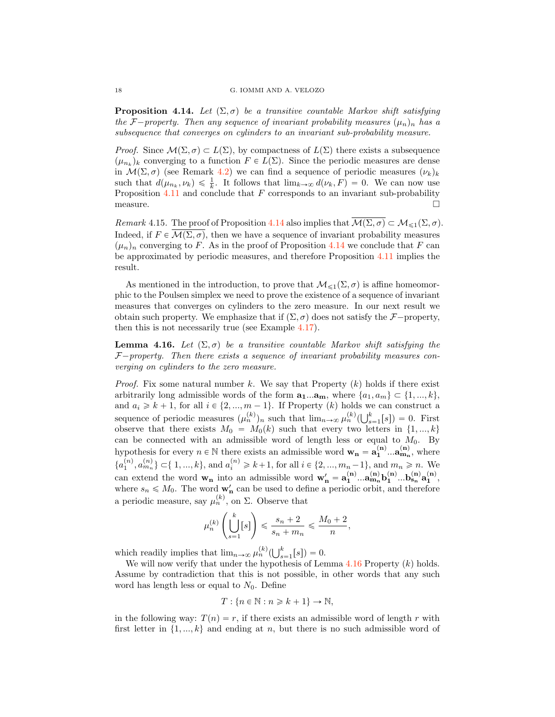<span id="page-17-1"></span>**Proposition 4.14.** Let  $(\Sigma, \sigma)$  be a transitive countable Markov shift satisfying the *F* $-p$ roperty. Then any sequence of invariant probability measures  $(\mu_n)_n$  has a subsequence that converges on cylinders to an invariant sub-probability measure.

*Proof.* Since  $\mathcal{M}(\Sigma, \sigma) \subset L(\Sigma)$ , by compactness of  $L(\Sigma)$  there exists a subsequence  $(\mu_{n_k})_k$  converging to a function  $F \in L(\Sigma)$ . Since the periodic measures are dense in  $\mathcal{M}(\Sigma, \sigma)$  (see Remark [4.2\)](#page-13-2) we can find a sequence of periodic measures  $(\nu_k)_k$ such that  $d(\mu_{n_k}, \nu_k) \leq \frac{1}{k}$ . It follows that  $\lim_{k \to \infty} d(\nu_k, F) = 0$ . We can now use Proposition  $4.11$  and conclude that F corresponds to an invariant sub-probability  $\Box$  measure.

<span id="page-17-2"></span>Remark 4.15. The proof of Proposition [4.14](#page-17-1) also implies that  $\overline{\mathcal{M}(\Sigma,\sigma)} \subset \mathcal{M}_{\leq 1}(\Sigma,\sigma)$ . Indeed, if  $F \in \overline{\mathcal{M}(\Sigma, \sigma)}$ , then we have a sequence of invariant probability measures  $(\mu_n)_n$  converging to F. As in the proof of Proposition [4.14](#page-17-1) we conclude that F can be approximated by periodic measures, and therefore Proposition [4.11](#page-15-2) implies the result.

As mentioned in the introduction, to prove that  $\mathcal{M}_{\leq 1}(\Sigma, \sigma)$  is affine homeomorphic to the Poulsen simplex we need to prove the existence of a sequence of invariant measures that converges on cylinders to the zero measure. In our next result we obtain such property. We emphasize that if  $(\Sigma, \sigma)$  does not satisfy the *F*–property, then this is not necessarily true (see Example [4.17\)](#page-18-0).

<span id="page-17-0"></span>**Lemma 4.16.** Let  $(\Sigma, \sigma)$  be a transitive countable Markov shift satisfying the  $F$ -property. Then there exists a sequence of invariant probability measures converging on cylinders to the zero measure.

*Proof.* Fix some natural number k. We say that Property  $(k)$  holds if there exist arbitrarily long admissible words of the form  $\mathbf{a_1}...\mathbf{a_m}$ , where  $\{a_1, a_m\} \subset \{1, ..., k\}$ , and  $a_i \geq k + 1$ , for all  $i \in \{2, ..., m - 1\}$ . If Property  $(k)$  holds we can construct a sequence of periodic measures  $(\mu_n^{(k)})_n$  such that  $\lim_{n\to\infty} \mu_n^{(k)}(\bigcup_{s=1}^k [s]) = 0$ . First observe that there exists  $M_0 = M_0(k)$  such that every two letters in  $\{1, ..., k\}$ can be connected with an admissible word of length less or equal to  $M_0$ . By hypothesis for every  $n \in \mathbb{N}$  there exists an admissible word  $\mathbf{w}_{n} = \mathbf{a}_{1}^{(n)} \dots \mathbf{a}_{m_{n}}^{(n)}$ , where  ${a_1^{(n)}, a_{m_n}^{(n)}} \subset \{1, ..., k\}$ , and  $a_i^{(n)} \geq k+1$ , for all  $i \in \{2, ..., m_n-1\}$ , and  $m_n \geq n$ . We can extend the word  $w_n$  into an admissible word  $w'_n = a_1^{(n)}...a_{m_n}^{(n)}b_1^{(n)}...b_{s_n}^{(n)}a_1^{(n)},$ where  $s_n \n\leq M_0$ . The word  $\mathbf{w}'_n$  can be used to define a periodic orbit, and therefore a periodic measure, say  $\mu_n^{(k)}$ , on  $\Sigma$ . Observe that

$$
\mu_n^{(k)}\left(\bigcup_{s=1}^k [s]\right) \leqslant \frac{s_n + 2}{s_n + m_n} \leqslant \frac{M_0 + 2}{n},
$$

which readily implies that  $\lim_{n\to\infty} \mu_n^{(k)}(\bigcup_{s=1}^k [s]) = 0.$ 

We will now verify that under the hypothesis of Lemma  $4.16$  Property  $(k)$  holds. Assume by contradiction that this is not possible, in other words that any such word has length less or equal to  $N_0$ . Define

$$
T: \{n \in \mathbb{N} : n \geq k + 1\} \to \mathbb{N},
$$

in the following way:  $T(n) = r$ , if there exists an admissible word of length r with first letter in  $\{1, ..., k\}$  and ending at n, but there is no such admissible word of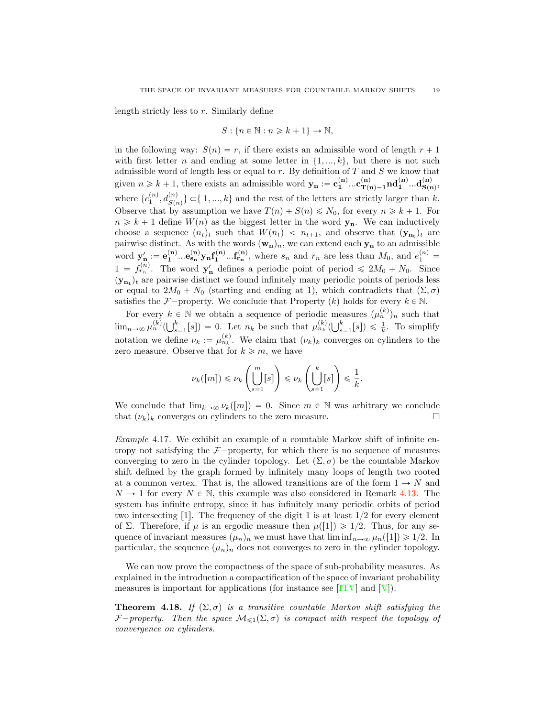<span id="page-18-2"></span>length strictly less to r. Similarly define

$$
S: \{n\in\mathbb{N}:n\geqslant k+1\}\rightarrow\mathbb{N},
$$

in the following way:  $S(n) = r$ , if there exists an admissible word of length  $r + 1$ with first letter n and ending at some letter in  $\{1, ..., k\}$ , but there is not such admissible word of length less or equal to  $r$ . By definition of  $T$  and  $S$  we know that given  $n \geq k + 1$ , there exists an admissible word  $\mathbf{y_n} := \mathbf{c_1^{(n)}} \dots \mathbf{c_{T(n)-1}^{(n)}} \mathbf{nd_1^{(n)}} \dots \mathbf{d_{S(n)}^{(n)}},$ where  $\{c_1^{(n)}, d_{S(n)}^{(n)}\} \subset \{1, ..., k\}$  and the rest of the letters are strictly larger than k. Observe that by assumption we have  $T(n) + S(n) \le N_0$ , for every  $n \ge k + 1$ . For  $n \geq k + 1$  define  $W(n)$  as the biggest letter in the word  $y_n$ . We can inductively choose a sequence  $(n_t)_t$  such that  $W(n_t) < n_{t+1}$ , and observe that  $(\mathbf{y}_{n_t})_t$  are pairwise distinct. As with the words  $(\mathbf{w}_n)_n$ , we can extend each  $\mathbf{y}_n$  to an admissible word  $\mathbf{y}'_{n} := \mathbf{e}_{1}^{(n)} \dots \mathbf{e}_{s_{n}}^{(n)} \mathbf{y}_{n} \mathbf{f}_{1}^{(n)} \dots \mathbf{f}_{r_{n}}^{(n)}$ , where  $s_{n}$  and  $r_{n}$  are less than  $M_{0}$ , and  $e_{1}^{(n)} =$  $1 = f_{r_n}^{(n)}$ . The word  $\mathbf{y}'_n$  defines a periodic point of period  $\leq 2M_0 + N_0$ . Since  $(\mathbf{y}_{n_t})_t$  are pairwise distinct we found infinitely many periodic points of periods less or equal to  $2M_0 + N_0$  (starting and ending at 1), which contradicts that  $(\Sigma, \sigma)$ satisfies the *F*-property. We conclude that Property  $(k)$  holds for every  $k \in \mathbb{N}$ .

For every  $k \in \mathbb{N}$  we obtain a sequence of periodic measures  $(\mu_n^{(k)})_n$  such that  $\lim_{n\to\infty}\mu_n^{(k)}(\bigcup_{s=1}^k [s]) = 0.$  Let  $n_k$  be such that  $\mu_{n_k}^{(k)}(\bigcup_{s=1}^k [s]) \leq \frac{1}{k}$ . To simplify notation we define  $\nu_k := \mu_{n_k}^{(k)}$ . We claim that  $(\nu_k)_k$  converges on cylinders to the zero measure. Observe that for  $k \geq m$ , we have

$$
\nu_k([m]) \leq \nu_k\left(\bigcup_{s=1}^m [s]\right) \leq \nu_k\left(\bigcup_{s=1}^k [s]\right) \leq \frac{1}{k}.
$$

We conclude that  $\lim_{k\to\infty} \nu_k([m]) = 0$ . Since  $m \in \mathbb{N}$  was arbitrary we conclude that  $(\nu_k)_k$  converges on cylinders to the zero measure. that  $(\nu_k)_k$  converges on cylinders to the zero measure.

<span id="page-18-0"></span>Example 4.17. We exhibit an example of a countable Markov shift of infinite entropy not satisfying the  $F$ <sup>-</sup>property, for which there is no sequence of measures converging to zero in the cylinder topology. Let  $(\Sigma, \sigma)$  be the countable Markov shift defined by the graph formed by infinitely many loops of length two rooted at a common vertex. That is, the allowed transitions are of the form  $1 \rightarrow N$  and  $N \to 1$  for every  $N \in \mathbb{N}$ , this example was also considered in Remark [4.13.](#page-16-0) The system has infinite entropy, since it has infinitely many periodic orbits of period two intersecting [1]. The frequency of the digit 1 is at least  $1/2$  for every element of Σ. Therefore, if  $\mu$  is an ergodic measure then  $\mu([1]) \geq 1/2$ . Thus, for any sequence of invariant measures  $(\mu_n)_n$  we must have that  $\liminf_{n\to\infty} \mu_n([1]) \geq 1/2$ . In particular, the sequence  $(\mu_n)_n$  does not converges to zero in the cylinder topology.

We can now prove the compactness of the space of sub-probability measures. As explained in the introduction a compactification of the space of invariant probability measures is important for applications (for instance see  $[ITV]$  and  $[V]$ ).

<span id="page-18-1"></span>**Theorem 4.18.** If  $(\Sigma, \sigma)$  is a transitive countable Markov shift satisfying the *F*<sup></sup>property. Then the space  $M_{\leq 1}(\Sigma, \sigma)$  is compact with respect the topology of convergence on cylinders.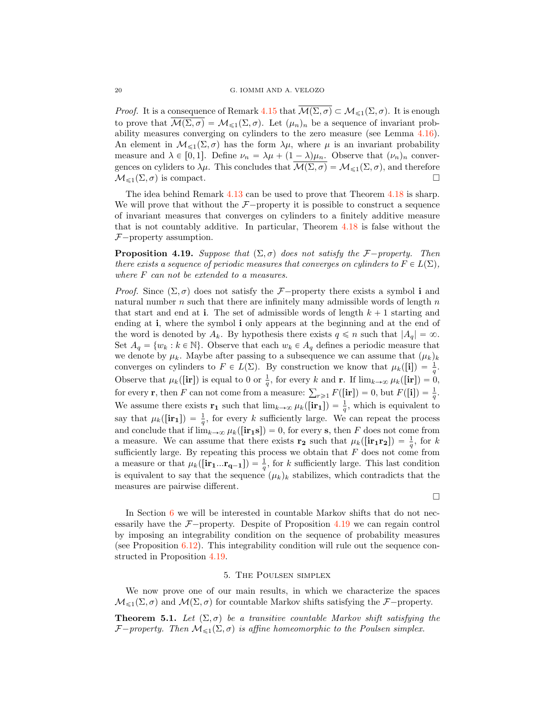*Proof.* It is a consequence of Remark [4.15](#page-17-2) that  $\overline{\mathcal{M}(\Sigma,\sigma)} \subset \mathcal{M}_{\leq 1}(\Sigma,\sigma)$ . It is enough to prove that  $\mathcal{M}(\Sigma, \sigma) = \mathcal{M}_{\leq 1}(\Sigma, \sigma)$ . Let  $(\mu_n)_n$  be a sequence of invariant probability measures converging on cylinders to the zero measure (see Lemma [4.16\)](#page-17-0). An element in  $\mathcal{M}_{\leq 1}(\Sigma, \sigma)$  has the form  $\lambda \mu$ , where  $\mu$  is an invariant probability measure and  $\lambda \in [0, 1]$ . Define  $\nu_n = \lambda \mu + (1 - \lambda)\mu_n$ . Observe that  $(\nu_n)_n$  convergences on cyliders to  $\lambda \mu$ . This concludes that  $\overline{\mathcal{M}(\Sigma, \sigma)} = \mathcal{M}_{\leq 1}(\Sigma, \sigma)$ , and therefore  $\mathcal{M}_{\leq 1}(\Sigma, \sigma)$  is compact.  $\mathcal{M}_{\leq 1}(\Sigma, \sigma)$  is compact.

The idea behind Remark [4.13](#page-16-0) can be used to prove that Theorem [4.18](#page-18-1) is sharp. We will prove that without the  $\mathcal{F}-$ property it is possible to construct a sequence of invariant measures that converges on cylinders to a finitely additive measure that is not countably additive. In particular, Theorem [4.18](#page-18-1) is false without the  $F$ -property assumption.

<span id="page-19-0"></span>**Proposition 4.19.** Suppose that  $(\Sigma, \sigma)$  does not satisfy the *F* $-p$ roperty. Then there exists a sequence of periodic measures that converges on cylinders to  $F \in L(\Sigma)$ , where F can not be extended to a measures.

*Proof.* Since  $(\Sigma, \sigma)$  does not satisfy the *F*—property there exists a symbol i and natural number  $n$  such that there are infinitely many admissible words of length  $n$ that start and end at i. The set of admissible words of length  $k + 1$  starting and ending at i, where the symbol i only appears at the beginning and at the end of the word is denoted by  $A_k$ . By hypothesis there exists  $q \leq n$  such that  $|A_q| = \infty$ . Set  $A_q = \{w_k : k \in \mathbb{N}\}\.$  Observe that each  $w_k \in A_q$  defines a periodic measure that we denote by  $\mu_k$ . Maybe after passing to a subsequence we can assume that  $(\mu_k)_k$ converges on cylinders to  $F \in L(\Sigma)$ . By construction we know that  $\mu_k([\mathbf{i}]) = \frac{1}{q}$ . Observe that  $\mu_k([\mathbf{ir}])$  is equal to 0 or  $\frac{1}{q}$ , for every k and **r**. If  $\lim_{k\to\infty}\mu_k([\mathbf{ir}])=0$ , for every **r**, then F can not come from a measure:  $\sum_{r\geq 1} F([\mathbf{ir}]) = 0$ , but  $F([\mathbf{i}]) = \frac{1}{q}$ . We assume there exists  $\mathbf{r}_1$  such that  $\lim_{k\to\infty} \mu_k([\mathbf{ir}_1]) = \frac{1}{q}$ , which is equivalent to say that  $\mu_k([\mathbf{ir}_1]) = \frac{1}{q}$ , for every k sufficiently large. We can repeat the process and conclude that if  $\lim_{k\to\infty} \mu_k([\mathbf{ir}_1\mathbf{s}]) = 0$ , for every s, then F does not come from a measure. We can assume that there exists  $\mathbf{r_2}$  such that  $\mu_k([\mathbf{ir_1r_2}]) = \frac{1}{q}$ , for k sufficiently large. By repeating this process we obtain that  $F$  does not come from a measure or that  $\mu_k([\mathbf{ir}_1...\mathbf{r}_{q-1}]) = \frac{1}{q}$ , for k sufficiently large. This last condition is equivalent to say that the sequence  $(\mu_k)_k$  stabilizes, which contradicts that the measures are pairwise different.

 $\Box$ 

In Section [6](#page-20-0) we will be interested in countable Markov shifts that do not necessarily have the  $\mathcal{F}-$ property. Despite of Proposition [4.19](#page-19-0) we can regain control by imposing an integrability condition on the sequence of probability measures (see Proposition [6.12\)](#page-25-0). This integrability condition will rule out the sequence constructed in Proposition [4.19.](#page-19-0)

### 5. The Poulsen simplex

<span id="page-19-2"></span>We now prove one of our main results, in which we characterize the spaces  $M_{\leq 1}(\Sigma, \sigma)$  and  $M(\Sigma, \sigma)$  for countable Markov shifts satisfying the *F*-property.

<span id="page-19-1"></span>**Theorem 5.1.** Let  $(\Sigma, \sigma)$  be a transitive countable Markov shift satisfying the *F* $-p$ roperty. Then  $M_{\leq 1}(\Sigma, \sigma)$  is affine homeomorphic to the Poulsen simplex.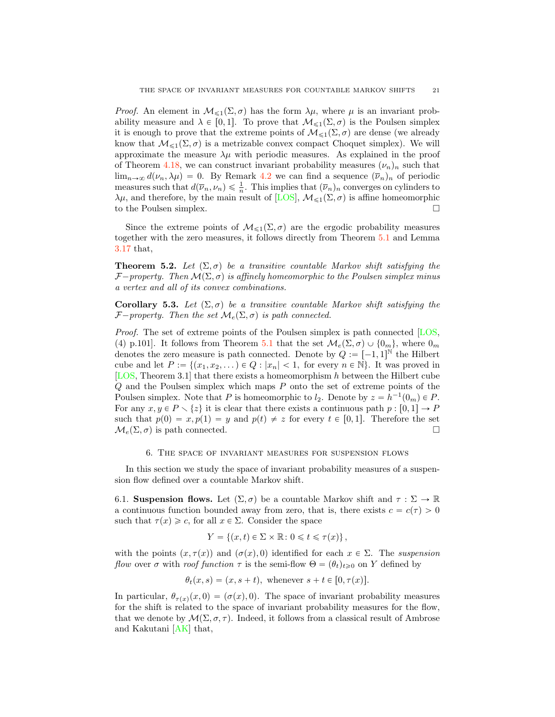<span id="page-20-1"></span>*Proof.* An element in  $\mathcal{M}_{\leq 1}(\Sigma, \sigma)$  has the form  $\lambda \mu$ , where  $\mu$  is an invariant probability measure and  $\lambda \in [0, 1]$ . To prove that  $\mathcal{M}_{\leq 1}(\Sigma, \sigma)$  is the Poulsen simplex it is enough to prove that the extreme points of  $\mathcal{M}_{\leq 1}(\Sigma, \sigma)$  are dense (we already know that  $\mathcal{M}_{\leq 1}(\Sigma, \sigma)$  is a metrizable convex compact Choquet simplex). We will approximate the measure  $\lambda \mu$  with periodic measures. As explained in the proof of Theorem [4.18,](#page-18-1) we can construct invariant probability measures  $(\nu_n)_n$  such that  $\lim_{n\to\infty} d(\nu_n, \lambda \mu) = 0$ . By Remark [4.2](#page-13-2) we can find a sequence  $(\overline{\nu}_n)_n$  of periodic measures such that  $d(\overline{\nu}_n, \nu_n) \leq \frac{1}{n}$ . This implies that  $(\overline{\nu}_n)_n$  converges on cylinders to  $λμ$ , and therefore, by the main result of [\[LOS\]](#page-30-0),  $M_{\leq 1}(\Sigma, \sigma)$  is affine homeomorphic to the Poulsen simplex. to the Poulsen simplex.

Since the extreme points of  $\mathcal{M}_{\leq 1}(\Sigma, \sigma)$  are the ergodic probability measures together with the zero measures, it follows directly from Theorem [5.1](#page-19-1) and Lemma [3.17](#page-8-1) that,

**Theorem 5.2.** Let  $(\Sigma, \sigma)$  be a transitive countable Markov shift satisfying the *F* $-p$ roperty. Then  $\mathcal{M}(\Sigma, \sigma)$  is affinely homeomorphic to the Poulsen simplex minus a vertex and all of its convex combinations.

Corollary 5.3. Let  $(\Sigma, \sigma)$  be a transitive countable Markov shift satisfying the *F* $-p$ *roperty.* Then the set  $\mathcal{M}_e(\Sigma, \sigma)$  is path connected.

Proof. The set of extreme points of the Poulsen simplex is path connected [\[LOS,](#page-30-0) (4) p.101]. It follows from Theorem [5.1](#page-19-1) that the set  $\mathcal{M}_e(\Sigma, \sigma) \cup \{0_m\}$ , where  $0_m$ denotes the zero measure is path connected. Denote by  $Q := [-1, 1]^N$  the Hilbert cube and let  $P := \{(x_1, x_2, \dots) \in Q : |x_n| < 1,$  for every  $n \in \mathbb{N}\}\.$  It was proved in [\[LOS,](#page-30-0) Theorem 3.1] that there exists a homeomorphism h between the Hilbert cube Q and the Poulsen simplex which maps P onto the set of extreme points of the Poulsen simplex. Note that P is homeomorphic to  $l_2$ . Denote by  $z = h^{-1}(0_m) \in P$ . For any  $x, y \in P \setminus \{z\}$  it is clear that there exists a continuous path  $p : [0, 1] \to P$ such that  $p(0) = x, p(1) = y$  and  $p(t) \neq z$  for every  $t \in [0, 1]$ . Therefore the set  $\mathcal{M}_c(\Sigma, \sigma)$  is path connected.  $\mathcal{M}_e(\Sigma, \sigma)$  is path connected.

## 6. The space of invariant measures for suspension flows

<span id="page-20-0"></span>In this section we study the space of invariant probability measures of a suspension flow defined over a countable Markov shift.

6.1. Suspension flows. Let  $(\Sigma, \sigma)$  be a countable Markov shift and  $\tau : \Sigma \to \mathbb{R}$ a continuous function bounded away from zero, that is, there exists  $c = c(\tau) > 0$ such that  $\tau(x) \geq c$ , for all  $x \in \Sigma$ . Consider the space

$$
Y = \{(x, t) \in \Sigma \times \mathbb{R} : 0 \leq t \leq \tau(x)\},\
$$

with the points  $(x, \tau(x))$  and  $(\sigma(x), 0)$  identified for each  $x \in \Sigma$ . The suspension flow over  $\sigma$  with roof function  $\tau$  is the semi-flow  $\Theta = (\theta_t)_{t\geq0}$  on Y defined by

$$
\theta_t(x,s) = (x, s+t), \text{ whenever } s+t \in [0, \tau(x)].
$$

In particular,  $\theta_{\tau(x)}(x, 0) = (\sigma(x), 0)$ . The space of invariant probability measures for the shift is related to the space of invariant probability measures for the flow, that we denote by  $\mathcal{M}(\Sigma, \sigma, \tau)$ . Indeed, it follows from a classical result of Ambrose and Kakutani [\[AK\]](#page-30-20) that,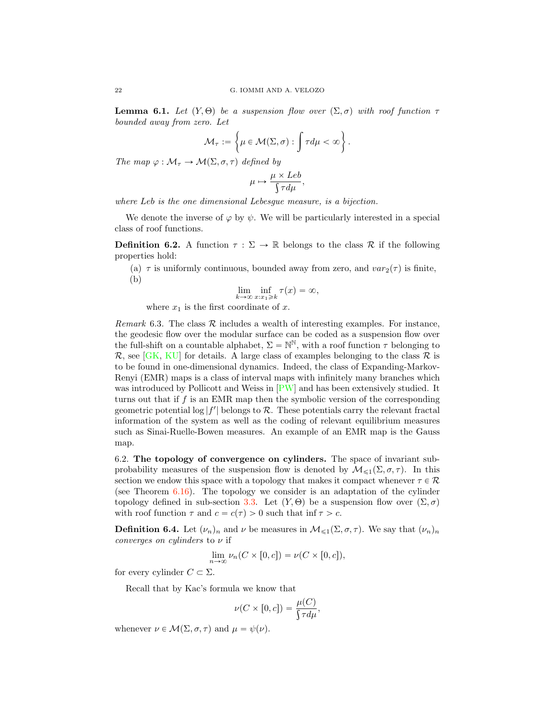<span id="page-21-3"></span><span id="page-21-0"></span>**Lemma 6.1.** Let  $(Y, \Theta)$  be a suspension flow over  $(\Sigma, \sigma)$  with roof function  $\tau$ bounded away from zero. Let

$$
\mathcal{M}_{\tau} := \left\{ \mu \in \mathcal{M}(\Sigma, \sigma) : \int \tau d\mu < \infty \right\}.
$$

The map  $\varphi : \mathcal{M}_\tau \to \mathcal{M}(\Sigma, \sigma, \tau)$  defined by

$$
\mu \mapsto \frac{\mu \times Leb}{\int \tau d\mu},
$$

where Leb is the one dimensional Lebesgue measure, is a bijection.

We denote the inverse of  $\varphi$  by  $\psi$ . We will be particularly interested in a special class of roof functions.

<span id="page-21-2"></span>**Definition 6.2.** A function  $\tau : \Sigma \to \mathbb{R}$  belongs to the class  $\mathcal{R}$  if the following properties hold:

<span id="page-21-1"></span>(a)  $\tau$  is uniformly continuous, bounded away from zero, and  $var_2(\tau)$  is finite, (b)

$$
\lim_{k \to \infty} \inf_{x:x_1 \geqslant k} \tau(x) = \infty,
$$

where  $x_1$  is the first coordinate of x.

*Remark* 6.3. The class  $R$  includes a wealth of interesting examples. For instance, the geodesic flow over the modular surface can be coded as a suspension flow over the full-shift on a countable alphabet,  $\Sigma = \mathbb{N}^{\mathbb{N}}$ , with a roof function  $\tau$  belonging to  $\mathcal{R}$ , see [\[GK,](#page-30-21) [KU\]](#page-30-22) for details. A large class of examples belonging to the class  $\mathcal{R}$  is to be found in one-dimensional dynamics. Indeed, the class of Expanding-Markov-Renyi (EMR) maps is a class of interval maps with infinitely many branches which was introduced by Pollicott and Weiss in [\[PW\]](#page-31-9) and has been extensively studied. It turns out that if  $f$  is an EMR map then the symbolic version of the corresponding geometric potential  $\log|f'|$  belongs to  $\mathcal{R}$ . These potentials carry the relevant fractal information of the system as well as the coding of relevant equilibrium measures such as Sinai-Ruelle-Bowen measures. An example of an EMR map is the Gauss map.

6.2. The topology of convergence on cylinders. The space of invariant subprobability measures of the suspension flow is denoted by  $\mathcal{M}_{\leq 1}(\Sigma, \sigma, \tau)$ . In this section we endow this space with a topology that makes it compact whenever  $\tau \in \mathcal{R}$ (see Theorem [6.16\)](#page-29-0). The topology we consider is an adaptation of the cylinder topology defined in sub-section [3.3.](#page-7-0) Let  $(Y, \Theta)$  be a suspension flow over  $(\Sigma, \sigma)$ with roof function  $\tau$  and  $c = c(\tau) > 0$  such that inf  $\tau > c$ .

**Definition 6.4.** Let  $(\nu_n)_n$  and  $\nu$  be measures in  $\mathcal{M}_{\leq 1}(\Sigma, \sigma, \tau)$ . We say that  $(\nu_n)_n$ converges on cylinders to  $\nu$  if

$$
\lim_{n \to \infty} \nu_n(C \times [0, c]) = \nu(C \times [0, c]),
$$

for every cylinder  $C \subset \Sigma$ .

Recall that by Kac's formula we know that

$$
\nu(C \times [0, c]) = \frac{\mu(C)}{\int \tau d\mu},
$$

whenever  $\nu \in \mathcal{M}(\Sigma, \sigma, \tau)$  and  $\mu = \psi(\nu)$ .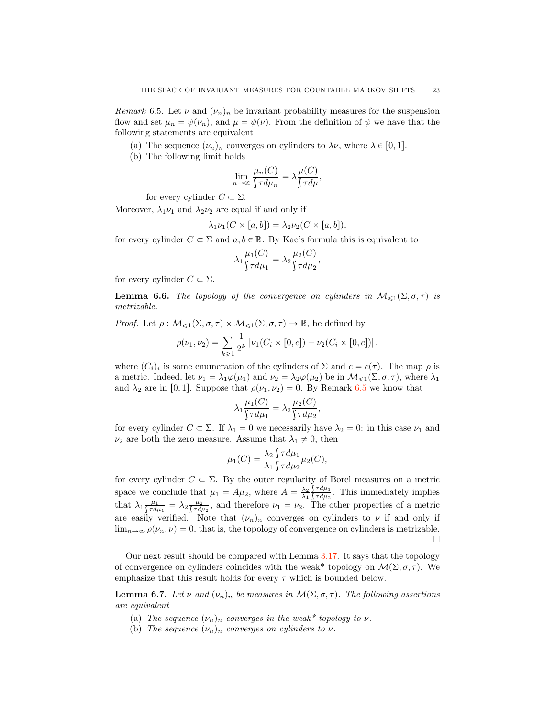<span id="page-22-0"></span>Remark 6.5. Let  $\nu$  and  $(\nu_n)_n$  be invariant probability measures for the suspension flow and set  $\mu_n = \psi(\nu_n)$ , and  $\mu = \psi(\nu)$ . From the definition of  $\psi$  we have that the following statements are equivalent

- (a) The sequence  $(\nu_n)_n$  converges on cylinders to  $\lambda \nu$ , where  $\lambda \in [0, 1].$
- (b) The following limit holds

$$
\lim_{n \to \infty} \frac{\mu_n(C)}{\int \tau d\mu_n} = \lambda \frac{\mu(C)}{\int \tau d\mu},
$$

for every cylinder  $C \subset \Sigma$ .

Moreover,  $\lambda_1 \nu_1$  and  $\lambda_2 \nu_2$  are equal if and only if

$$
\lambda_1 \nu_1(C \times [a, b]) = \lambda_2 \nu_2(C \times [a, b]),
$$

for every cylinder  $C \subset \Sigma$  and  $a, b \in \mathbb{R}$ . By Kac's formula this is equivalent to

$$
\lambda_1 \frac{\mu_1(C)}{\int \tau d\mu_1} = \lambda_2 \frac{\mu_2(C)}{\int \tau d\mu_2},
$$

for every cylinder  $C \subset \Sigma$ .

<span id="page-22-4"></span>**Lemma 6.6.** The topology of the convergence on cylinders in  $M_{\leq 1}(\Sigma, \sigma, \tau)$  is metrizable.

*Proof.* Let  $\rho : \mathcal{M}_{\leq 1}(\Sigma, \sigma, \tau) \times \mathcal{M}_{\leq 1}(\Sigma, \sigma, \tau) \to \mathbb{R}$ , be defined by

$$
\rho(\nu_1, \nu_2) = \sum_{k \geq 1} \frac{1}{2^k} |\nu_1(C_i \times [0, c]) - \nu_2(C_i \times [0, c])|,
$$

where  $(C_i)_i$  is some enumeration of the cylinders of  $\Sigma$  and  $c = c(\tau)$ . The map  $\rho$  is a metric. Indeed, let  $\nu_1 = \lambda_1 \varphi(\mu_1)$  and  $\nu_2 = \lambda_2 \varphi(\mu_2)$  be in  $\mathcal{M}_{\leq 1}(\Sigma, \sigma, \tau)$ , where  $\lambda_1$ and  $\lambda_2$  are in [0, 1]. Suppose that  $\rho(\nu_1, \nu_2) = 0$ . By Remark [6.5](#page-22-0) we know that

$$
\lambda_1 \frac{\mu_1(C)}{\int \tau d\mu_1} = \lambda_2 \frac{\mu_2(C)}{\int \tau d\mu_2},
$$

for every cylinder  $C \subset \Sigma$ . If  $\lambda_1 = 0$  we necessarily have  $\lambda_2 = 0$ : in this case  $\nu_1$  and  $\nu_2$  are both the zero measure. Assume that  $\lambda_1 \neq 0$ , then

$$
\mu_1(C) = \frac{\lambda_2}{\lambda_1} \frac{\int \tau d\mu_1}{\int \tau d\mu_2} \mu_2(C),
$$

for every cylinder  $C \subset \Sigma$ . By the outer regularity of Borel measures on a metric space we conclude that  $\mu_1 = A\mu_2$ , where  $A = \frac{\lambda_2}{\lambda_1}$  $\int \frac{\zeta \tau d\mu_1}{\zeta \tau d\mu_2}$ . This immediately implies that  $\lambda_1 \frac{\mu_1}{\int \tau d\mu_1} = \lambda_2 \frac{\mu_2}{\int \tau d\mu_2}$ , and therefore  $\nu_1 = \nu_2$ . The other properties of a metric are easily verified. Note that  $(\nu_n)_n$  converges on cylinders to  $\nu$  if and only if  $\lim_{n\to\infty} \rho(\nu_n, \nu) = 0$ , that is, the topology of convergence on cylinders is metrizable.  $\Box$ 

Our next result should be compared with Lemma [3.17.](#page-8-1) It says that the topology of convergence on cylinders coincides with the weak<sup>\*</sup> topology on  $\mathcal{M}(\Sigma, \sigma, \tau)$ . We emphasize that this result holds for every  $\tau$  which is bounded below.

<span id="page-22-3"></span>**Lemma 6.7.** Let  $\nu$  and  $(\nu_n)_n$  be measures in  $\mathcal{M}(\Sigma, \sigma, \tau)$ . The following assertions are equivalent

- <span id="page-22-1"></span>(a) The sequence  $(\nu_n)_n$  converges in the weak\* topology to  $\nu$ .
- <span id="page-22-2"></span>(b) The sequence  $(\nu_n)_n$  converges on cylinders to  $\nu$ .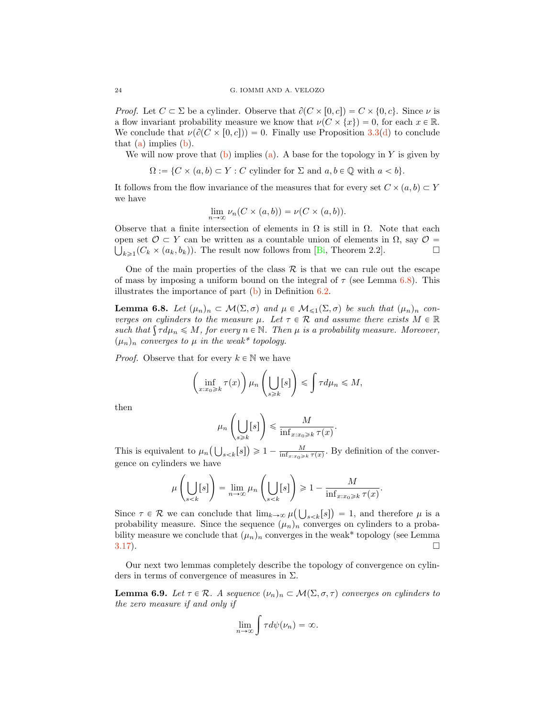*Proof.* Let  $C \subset \Sigma$  be a cylinder. Observe that  $\partial(C \times [0, c]) = C \times \{0, c\}$ . Since  $\nu$  is a flow invariant probability measure we know that  $\nu(C \times \{x\}) = 0$ , for each  $x \in \mathbb{R}$ . We conclude that  $\nu(\partial(C \times [0, c])) = 0$ . Finally use Proposition [3.3\(](#page-5-0)[d\)](#page-5-1) to conclude that [\(a\)](#page-22-1) implies [\(b\)](#page-22-2).

We will now prove that  $(b)$  implies  $(a)$ . A base for the topology in Y is given by

 $\Omega := \{C \times (a, b) \subset Y : C \text{ cylinder for } \Sigma \text{ and } a, b \in \mathbb{Q} \text{ with } a < b\}.$ 

It follows from the flow invariance of the measures that for every set  $C \times (a, b) \subset Y$ we have

$$
\lim_{n \to \infty} \nu_n(C \times (a, b)) = \nu(C \times (a, b)).
$$

Observe that a finite intersection of elements in  $\Omega$  is still in  $\Omega$ . Note that each open set *O* ⊂ *Y* can be written as a countable union of elements in Ω, say *O* =  $\iint_{\mathbb{R}^3} C_{h} \times (a_h, b_h)$ . The result now follows from [Bi, Theorem 2.2].  $\bigcup_{k\geq 1}(C_k\times (a_k, b_k)).$  The result now follows from [\[Bi,](#page-30-14) Theorem 2.2].

One of the main properties of the class  $\mathcal R$  is that we can rule out the escape of mass by imposing a uniform bound on the integral of  $\tau$  (see Lemma [6.8\)](#page-23-0). This illustrates the importance of part  $(b)$  in Definition [6.2.](#page-21-2)

<span id="page-23-0"></span>**Lemma 6.8.** Let  $(\mu_n)_n \subset \mathcal{M}(\Sigma, \sigma)$  and  $\mu \in \mathcal{M}_{\leq 1}(\Sigma, \sigma)$  be such that  $(\mu_n)_n$  converges on cylinders to the measure  $\mu$ . Let  $\tau \in \mathcal{R}$  and assume there exists  $M \in \mathbb{R}$ such that  $\int \tau d\mu_n \leq M$ , for every  $n \in \mathbb{N}$ . Then  $\mu$  is a probability measure. Moreover,  $(\mu_n)_n$  converges to  $\mu$  in the weak\* topology.

*Proof.* Observe that for every  $k \in \mathbb{N}$  we have

$$
\left(\inf_{x:x_0\geqslant k}\tau(x)\right)\mu_n\left(\bigcup_{s\geqslant k}[s]\right)\leqslant \int\tau d\mu_n\leqslant M,
$$

then

$$
\mu_n\left(\bigcup_{s\geqslant k}[s]\right)\leqslant \frac{M}{\inf_{x:x_0\geqslant k}\tau(x)}.
$$

This is equivalent to  $\mu_n\left(\bigcup_{s\leq k}[s]\right) \geq 1 - \frac{M}{\inf_{x:x_0\geq k}\tau(x)}$ . By definition of the convergence on cylinders we have

$$
\mu\left(\bigcup_{s
$$

Since  $\tau \in \mathcal{R}$  we can conclude that  $\lim_{k \to \infty} \mu(\bigcup_{s \le k} [s]) = 1$ , and therefore  $\mu$  is a probability measure. Since the sequence  $(\mu_n)_n$  converges on cylinders to a probability measure we conclude that  $(\mu_n)_n$  converges in the weak\* topology (see Lemma 3.17).  $3.17$ ).

Our next two lemmas completely describe the topology of convergence on cylinders in terms of convergence of measures in  $\Sigma$ .

<span id="page-23-1"></span>**Lemma 6.9.** Let  $\tau \in \mathcal{R}$ . A sequence  $(\nu_n)_n \subset \mathcal{M}(\Sigma, \sigma, \tau)$  converges on cylinders to the zero measure if and only if

$$
\lim_{n\to\infty}\int\tau d\psi(\nu_n)=\infty.
$$

<span id="page-23-2"></span>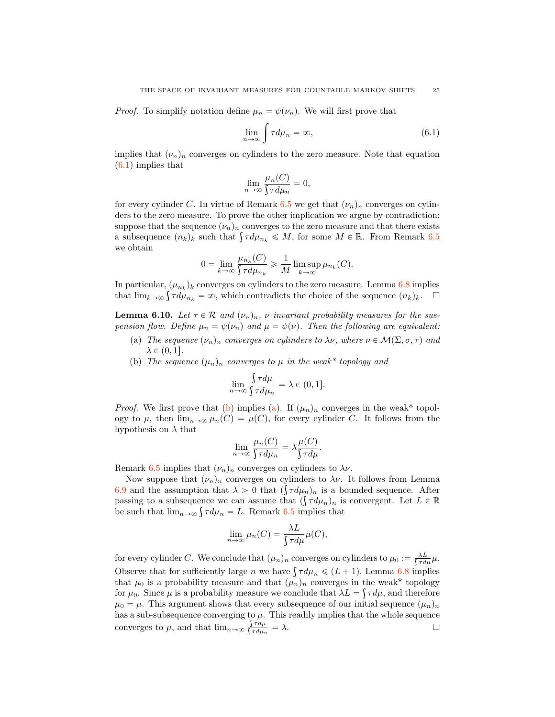*Proof.* To simplify notation define  $\mu_n = \psi(\nu_n)$ . We will first prove that

<span id="page-24-2"></span>
$$
\lim_{n \to \infty} \int \tau d\mu_n = \infty, \tag{6.1}
$$

implies that  $(\nu_n)_n$  converges on cylinders to the zero measure. Note that equation [\(6.1\)](#page-24-2) implies that

$$
\lim_{n \to \infty} \frac{\mu_n(C)}{\int \tau d\mu_n} = 0,
$$

for every cylinder C. In virtue of Remark [6.5](#page-22-0) we get that  $(\nu_n)_n$  converges on cylinders to the zero measure. To prove the other implication we argue by contradiction: suppose that the sequence  $(\nu_n)_n$  converges to the zero measure and that there exists a subsequence  $(n_k)_k$  such that  $\int \tau d\mu_{n_k} \leqslant M$ , for some  $M \in \mathbb{R}$ . From Remark [6.5](#page-22-0) we obtain

$$
0 = \lim_{k \to \infty} \frac{\mu_{n_k}(C)}{\int \tau d\mu_{n_k}} \geq \frac{1}{M} \limsup_{k \to \infty} \mu_{n_k}(C).
$$

In particular,  $(\mu_{n_k})_k$  converges on cylinders to the zero measure. Lemma [6.8](#page-23-0) implies that  $\lim_{k\to\infty} \int \tau d\mu_{n_k} = \infty$ , which contradicts the choice of the sequence  $(n_k)_k$ .  $\Box$ 

<span id="page-24-3"></span>**Lemma 6.10.** Let  $\tau \in \mathcal{R}$  and  $(\nu_n)_n$ ,  $\nu$  invariant probability measures for the suspension flow. Define  $\mu_n = \psi(\nu_n)$  and  $\mu = \psi(\nu)$ . Then the following are equivalent:

- <span id="page-24-0"></span>(a) The sequence  $(\nu_n)_n$  converges on cylinders to  $\lambda \nu$ , where  $\nu \in \mathcal{M}(\Sigma, \sigma, \tau)$  and  $\lambda \in (0, 1].$
- <span id="page-24-1"></span>(b) The sequence  $(\mu_n)_n$  converges to  $\mu$  in the weak\* topology and

$$
\lim_{n \to \infty} \frac{\int \tau d\mu}{\int \tau d\mu_n} = \lambda \in (0, 1].
$$

*Proof.* We first prove that [\(b\)](#page-24-1) implies [\(a\)](#page-24-0). If  $(\mu_n)_n$  converges in the weak\* topology to  $\mu$ , then  $\lim_{n\to\infty} \mu_n(C) = \mu(C)$ , for every cylinder C. It follows from the hypothesis on  $\lambda$  that

$$
\lim_{n \to \infty} \frac{\mu_n(C)}{\int \tau d\mu_n} = \lambda \frac{\mu(C)}{\int \tau d\mu}.
$$

Remark [6.5](#page-22-0) implies that  $(\nu_n)_n$  converges on cylinders to  $\lambda \nu$ .

Now suppose that  $(\nu_n)_n$  converges on cylinders to  $\lambda \nu$ . It follows from Lemma [6.9](#page-23-1) and the assumption that  $\lambda > 0$  that  $(\int \tau d\mu_n)_n$  is a bounded sequence. After passing to a subsequence we can assume that  $(\int \tau d\mu_n)_n$  is convergent. Let  $L \in \mathbb{R}$ be such that  $\lim_{n\to\infty} \int \tau d\mu_n = L$ . Remark [6.5](#page-22-0) implies that

$$
\lim_{n \to \infty} \mu_n(C) = \frac{\lambda L}{\int \tau d\mu} \mu(C),
$$

for every cylinder C. We conclude that  $(\mu_n)_n$  converges on cylinders to  $\mu_0 := \frac{\lambda L}{\int \tau d\mu} \mu$ . Observe that for sufficiently large n we have  $\int \tau d\mu_n \leq (L+1)$ . Lemma [6.8](#page-23-0) implies that  $\mu_0$  is a probability measure and that  $(\mu_n)_n$  converges in the weak\* topology for  $\mu_0$ . Since  $\mu$  is a probability measure we conclude that  $\lambda L = \int \tau d\mu$ , and therefore  $\mu_0 = \mu$ . This argument shows that every subsequence of our initial sequence  $(\mu_n)_n$ has a sub-subsequence converging to  $\mu$ . This readily implies that the whole sequence converges to  $\mu$ , and that  $\lim_{n\to\infty} \frac{\int \tau d\mu}{\int \tau d\mu_n} = \lambda$ .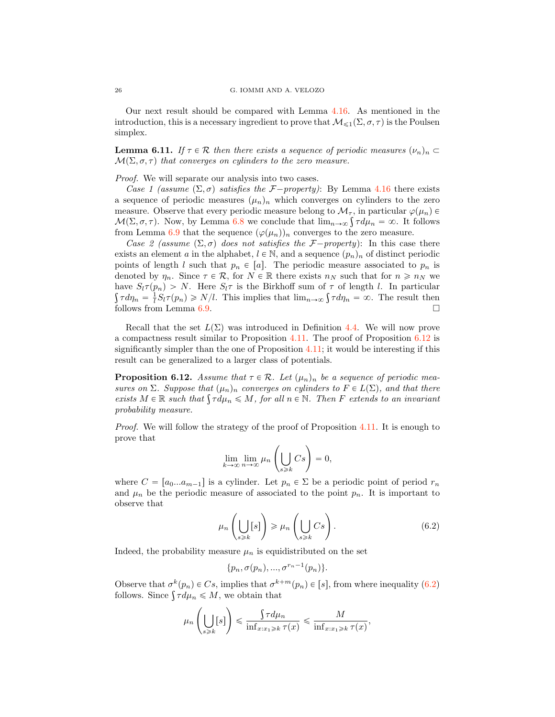Our next result should be compared with Lemma [4.16.](#page-17-0) As mentioned in the introduction, this is a necessary ingredient to prove that  $\mathcal{M}_{\leq 1}(\Sigma, \sigma, \tau)$  is the Poulsen simplex.

<span id="page-25-2"></span>**Lemma 6.11.** If  $\tau \in \mathcal{R}$  then there exists a sequence of periodic measures  $(\nu_n)_n \subset$  $\mathcal{M}(\Sigma, \sigma, \tau)$  that converges on cylinders to the zero measure.

Proof. We will separate our analysis into two cases.

Case 1 (assume  $(\Sigma, \sigma)$  satisfies the *F*-property): By Lemma [4.16](#page-17-0) there exists a sequence of periodic measures  $(\mu_n)_n$  which converges on cylinders to the zero measure. Observe that every periodic measure belong to  $\mathcal{M}_{\tau}$ , in particular  $\varphi(\mu_n) \in$  $M(\Sigma, \sigma, \tau)$ . Now, by Lemma [6.8](#page-23-0) we conclude that  $\lim_{n\to\infty} \int \tau d\mu_n = \infty$ . It follows from Lemma [6.9](#page-23-1) that the sequence  $(\varphi(\mu_n))_n$  converges to the zero measure.

Case 2 (assume  $(\Sigma, \sigma)$  does not satisfies the *F* $-property$ ): In this case there exists an element a in the alphabet,  $l \in \mathbb{N}$ , and a sequence  $(p_n)_n$  of distinct periodic points of length l such that  $p_n \in [a]$ . The periodic measure associated to  $p_n$  is denoted by  $\eta_n$ . Since  $\tau \in \mathcal{R}$ , for  $N \in \mathbb{R}$  there exists  $n_N$  such that for  $n \geq n_N$  we have  $S_l \tau(p_n) > N$ . Here  $S_l \tau$  is the Birkhoff sum of  $\tau$  of length l. In particular  $\int \tau d\eta_n = \frac{1}{l} S_l \tau(p_n) \ge N/l$ . This implies that  $\lim_{n\to\infty} \int \tau d\eta_n = \infty$ . The result then follows from Lemma [6.9.](#page-23-1)  $\Box$ 

Recall that the set  $L(\Sigma)$  was introduced in Definition [4.4.](#page-13-3) We will now prove a compactness result similar to Proposition [4.11.](#page-15-2) The proof of Proposition [6.12](#page-25-0) is significantly simpler than the one of Proposition [4.11;](#page-15-2) it would be interesting if this result can be generalized to a larger class of potentials.

<span id="page-25-0"></span>**Proposition 6.12.** Assume that  $\tau \in \mathcal{R}$ . Let  $(\mu_n)_n$  be a sequence of periodic measures on  $\Sigma$ . Suppose that  $(\mu_n)_n$  converges on cylinders to  $F \in L(\Sigma)$ , and that there exists  $M \in \mathbb{R}$  such that  $\int \tau d\mu_n \leq M$ , for all  $n \in \mathbb{N}$ . Then F extends to an invariant probability measure.

Proof. We will follow the strategy of the proof of Proposition [4.11.](#page-15-2) It is enough to prove that

$$
\lim_{k \to \infty} \lim_{n \to \infty} \mu_n \left( \bigcup_{s \ge k} Cs \right) = 0,
$$

where  $C = [a_0...a_{m-1}]$  is a cylinder. Let  $p_n \in \Sigma$  be a periodic point of period  $r_n$ and  $\mu_n$  be the periodic measure of associated to the point  $p_n$ . It is important to observe that

$$
\mu_n\left(\bigcup_{s\geq k}[s]\right) \geq \mu_n\left(\bigcup_{s\geq k}Cs\right). \tag{6.2}
$$

Indeed, the probability measure  $\mu_n$  is equidistributed on the set

<span id="page-25-1"></span>
$$
\{p_n, \sigma(p_n), ..., \sigma^{r_n-1}(p_n)\}.
$$

Observe that  $\sigma^k(p_n) \in C_s$ , implies that  $\sigma^{k+m}(p_n) \in [s]$ , from where inequality [\(6.2\)](#page-25-1) follows. Since  $\int \tau d\mu_n \leqslant M$ , we obtain that

$$
\mu_n\left(\bigcup_{s\geq k}[s]\right) \leq \frac{\int \tau d\mu_n}{\inf_{x:x_1\geq k}\tau(x)} \leq \frac{M}{\inf_{x:x_1\geq k}\tau(x)},
$$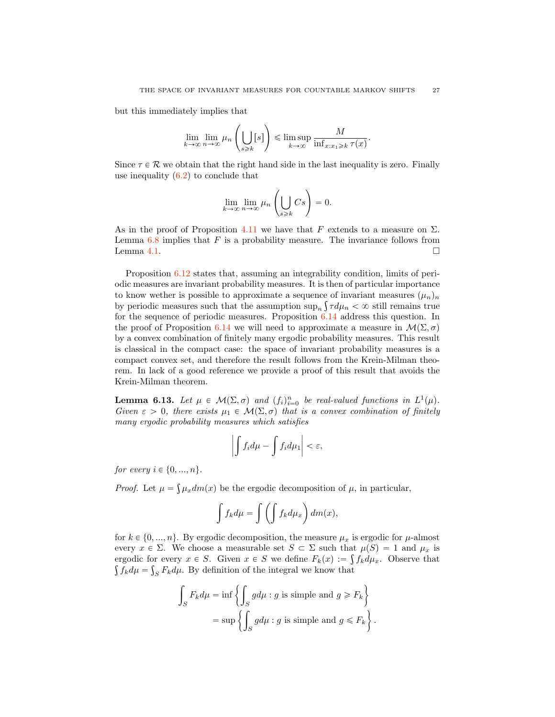but this immediately implies that

$$
\lim_{k \to \infty} \lim_{n \to \infty} \mu_n \left( \bigcup_{s \geq k} [s] \right) \leq \limsup_{k \to \infty} \frac{M}{\inf_{x : x_1 \geq k} \tau(x)}.
$$

Since  $\tau \in \mathcal{R}$  we obtain that the right hand side in the last inequality is zero. Finally use inequality  $(6.2)$  to conclude that

$$
\lim_{k \to \infty} \lim_{n \to \infty} \mu_n \left( \bigcup_{s \ge k} Cs \right) = 0.
$$

As in the proof of Proposition [4.11](#page-15-2) we have that F extends to a measure on  $\Sigma$ . Lemma  $6.8$  implies that  $F$  is a probability measure. The invariance follows from Lemma [4.1.](#page-13-1)  $\Box$ 

Proposition [6.12](#page-25-0) states that, assuming an integrability condition, limits of periodic measures are invariant probability measures. It is then of particular importance to know wether is possible to approximate a sequence of invariant measures  $(\mu_n)_n$ by periodic measures such that the assumption  $\sup_n \int \tau d\mu_n < \infty$  still remains true for the sequence of periodic measures. Proposition [6.14](#page-27-0) address this question. In the proof of Proposition [6.14](#page-27-0) we will need to approximate a measure in  $\mathcal{M}(\Sigma, \sigma)$ by a convex combination of finitely many ergodic probability measures. This result is classical in the compact case: the space of invariant probability measures is a compact convex set, and therefore the result follows from the Krein-Milman theorem. In lack of a good reference we provide a proof of this result that avoids the Krein-Milman theorem.

<span id="page-26-0"></span>**Lemma 6.13.** Let  $\mu \in \mathcal{M}(\Sigma, \sigma)$  and  $(f_i)_{i=0}^n$  be real-valued functions in  $L^1(\mu)$ . Given  $\varepsilon > 0$ , there exists  $\mu_1 \in \mathcal{M}(\Sigma, \sigma)$  that is a convex combination of finitely many ergodic probability measures which satisfies

$$
\left|\int f_i d\mu - \int f_i d\mu_1\right| < \varepsilon,
$$

for every  $i \in \{0, ..., n\}$ .

*Proof.* Let  $\mu = \int \mu_x dm(x)$  be the ergodic decomposition of  $\mu$ , in particular,

$$
\int f_k d\mu = \int \left( \int f_k d\mu_x \right) dm(x),
$$

for  $k \in \{0, ..., n\}$ . By ergodic decomposition, the measure  $\mu_x$  is ergodic for  $\mu$ -almost every  $x \in \Sigma$ . We choose a measurable set  $S \subset \Sigma$  such that  $\mu(S) = 1$  and  $\mu_x$  is ergodic for every  $x \in S$ . Given  $x \in S$  we define  $F_k(x) := \int f_k d\mu_x$ . Observe that  $\int f_k d\mu = \int_S F_k d\mu$ . By definition of the integral we know that

$$
\int_{S} F_{k} d\mu = \inf \left\{ \int_{S} g d\mu : g \text{ is simple and } g \geq F_{k} \right\}
$$

$$
= \sup \left\{ \int_{S} g d\mu : g \text{ is simple and } g \leq F_{k} \right\}.
$$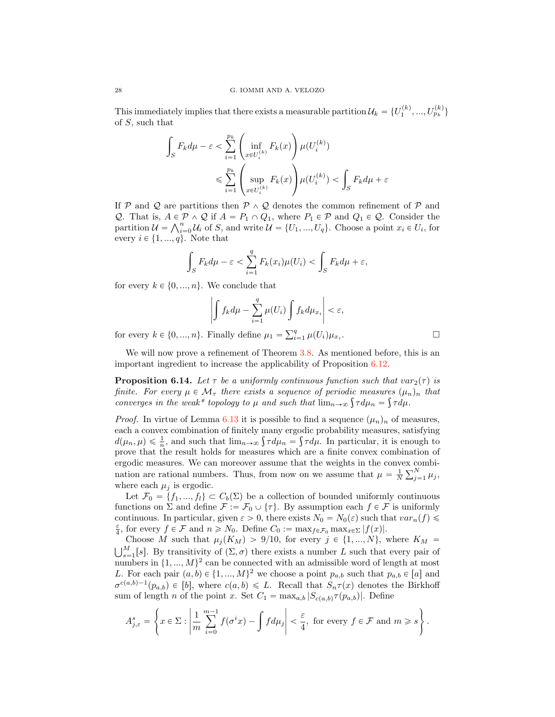This immediately implies that there exists a measurable partition  $\mathcal{U}_k = \{U_1^{(k)}, ..., U_{p_k}^{(k)}\}$ of S, such that

$$
\int_{S} F_k d\mu - \varepsilon < \sum_{i=1}^{p_k} \left( \inf_{x \in U_i^{(k)}} F_k(x) \right) \mu(U_i^{(k)})
$$
\n
$$
\leqslant \sum_{i=1}^{p_k} \left( \sup_{x \in U_i^{(k)}} F_k(x) \right) \mu(U_i^{(k)}) < \int_{S} F_k d\mu + \varepsilon
$$

If  $P$  and  $Q$  are partitions then  $P \wedge Q$  denotes the common refinement of  $P$  and *Q*. That is,  $A \in \mathcal{P} \wedge \mathcal{Q}$  if  $A = P_1 \cap Q_1$ , where  $P_1 \in \mathcal{P}$  and  $Q_1 \in \mathcal{Q}$ . Consider the partition  $\mathcal{U} = \bigwedge_{i=0}^{n} \mathcal{U}_i$  of S, and write  $\mathcal{U} = \{U_1, ..., U_q\}$ . Choose a point  $x_i \in U_i$ , for every  $i \in \{1, ..., q\}$ . Note that

$$
\int_{S} F_k d\mu - \varepsilon < \sum_{i=1}^{q} F_k(x_i) \mu(U_i) < \int_{S} F_k d\mu + \varepsilon,
$$

for every  $k \in \{0, ..., n\}$ . We conclude that

$$
\left| \int f_k d\mu - \sum_{i=1}^q \mu(U_i) \int f_k d\mu_{x_i} \right| < \varepsilon,
$$

for every  $k \in \{0, ..., n\}$ . Finally define  $\mu_1 = \sum_{i=1}^q \mu(U_i) \mu_{x_i}$ .

We will now prove a refinement of Theorem [3.8.](#page-6-1) As mentioned before, this is an important ingredient to increase the applicability of Proposition [6.12.](#page-25-0)

<span id="page-27-0"></span>**Proposition 6.14.** Let  $\tau$  be a uniformly continuous function such that  $var_2(\tau)$  is finite. For every  $\mu \in \mathcal{M}_{\tau}$  there exists a sequence of periodic measures  $(\mu_n)_n$  that converges in the weak\* topology to  $\mu$  and such that  $\lim_{n\to\infty} \int \tau d\mu_n = \int \tau d\mu$ .

*Proof.* In virtue of Lemma [6.13](#page-26-0) it is possible to find a sequence  $(\mu_n)_n$  of measures, each a convex combination of finitely many ergodic probability measures, satisfying  $d(\mu_n, \mu) \leq \frac{1}{n}$ , and such that  $\lim_{n\to\infty} \int \tau d\mu_n = \int \tau d\mu$ . In particular, it is enough to prove that the result holds for measures which are a finite convex combination of ergodic measures. We can moreover assume that the weights in the convex combination are rational numbers. Thus, from now on we assume that  $\mu = \frac{1}{N} \sum_{j=1}^{N} \mu_j$ , where each  $\mu_j$  is ergodic.

Let  $\mathcal{F}_0 = \{f_1, ..., f_l\} \subset C_b(\Sigma)$  be a collection of bounded uniformly continuous functions on  $\Sigma$  and define  $\mathcal{F} := \mathcal{F}_0 \cup \{\tau\}$ . By assumption each  $f \in \mathcal{F}$  is uniformly continuous. In particular, given  $\varepsilon > 0$ , there exists  $N_0 = N_0(\varepsilon)$  such that  $var_n(f) \leq$  $\frac{\varepsilon}{4}$ , for every  $f \in \mathcal{F}$  and  $n \geq N_0$ . Define  $C_0 := \max_{f \in \mathcal{F}_0} \max_{x \in \Sigma} |f(x)|$ .<br>Choose M such that  $\mu_j(K_M) > 9/10$ , for every  $j \in \{1, ..., N\}$ , where  $K_M =$ 

Choose M such that  $\mu_j(K_M) > 9/10$ , for every  $j \in \{1, ..., N\}$ , where  $K_M = \bigcup_{s=1}^M [s]$ . By transitivity of  $(\Sigma, \sigma)$  there exists a number L such that every pair of numbers in  $\{1, ..., M\}^2$  can be connected with an admissible word of length at most L. For each pair  $(a, b) \in \{1, ..., M\}^2$  we choose a point  $p_{a,b}$  such that  $p_{a,b} \in [a]$  and  $\sigma^{c(a,b)-1}(p_{a,b}) \in [b]$ , where  $c(a, b) \leq L$ . Recall that  $S_n\tau(x)$  denotes the Birkhoff sum of length *n* of the point *x*. Set  $C_1 = \max_{a,b} |S_{c(a,b)} \tau(p_{a,b})|$ . Define

$$
A_{j,\varepsilon}^s = \left\{ x \in \Sigma : \left| \frac{1}{m} \sum_{i=0}^{m-1} f(\sigma^i x) - \int f d\mu_j \right| < \frac{\varepsilon}{4}, \text{ for every } f \in \mathcal{F} \text{ and } m \geqslant s \right\}.
$$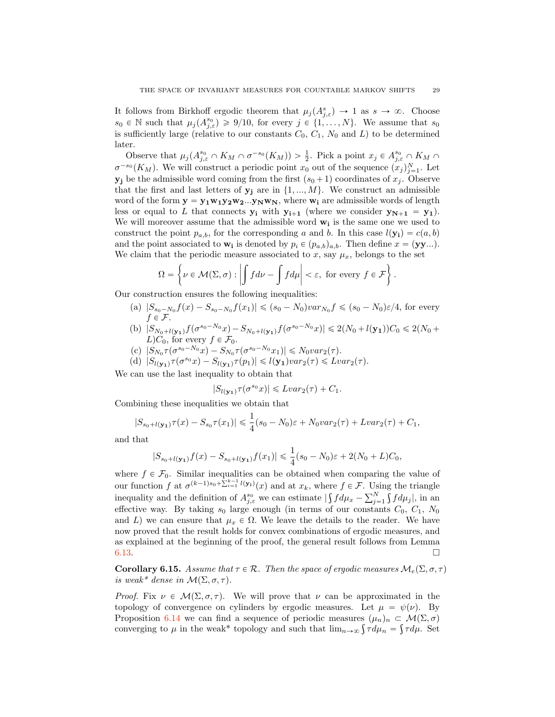It follows from Birkhoff ergodic theorem that  $\mu_j(A^s_{j,\varepsilon}) \to 1$  as  $s \to \infty$ . Choose  $s_0 \in \mathbb{N}$  such that  $\mu_j(A_{j,\varepsilon}^{s_0}) \geq 9/10$ , for every  $j \in \{1, \ldots, N\}$ . We assume that  $s_0$ is sufficiently large (relative to our constants  $C_0$ ,  $C_1$ ,  $N_0$  and  $L$ ) to be determined later.

Observe that  $\mu_j(A_{j,\varepsilon}^{s_0} \cap K_M \cap \sigma^{-s_0}(K_M)) > \frac{1}{2}$ . Pick a point  $x_j \in A_{j,\varepsilon}^{s_0} \cap K_M \cap$  $\sigma^{-s_0}(K_M)$ . We will construct a periodic point  $x_0$  out of the sequence  $(x_j)_{j=1}^N$ . Let  $y_j$  be the admissible word coming from the first  $(s_0 + 1)$  coordinates of  $x_j$ . Observe that the first and last letters of  $y_i$  are in  $\{1, ..., M\}$ . We construct an admissible word of the form  $y = y_1w_1y_2w_2...y_Nw_N$ , where  $w_i$  are admissible words of length less or equal to L that connects  $y_i$  with  $y_{i+1}$  (where we consider  $y_{N+1} = y_1$ ). We will moreover assume that the admissible word  $w_i$  is the same one we used to construct the point  $p_{a,b}$ , for the corresponding a and b. In this case  $l(\mathbf{y_i}) = c(a, b)$ and the point associated to  $\mathbf{w_i}$  is denoted by  $p_i \in (p_{a,b})_{a,b}$ . Then define  $x = (\mathbf{y}\mathbf{y}\dots)$ . We claim that the periodic measure associated to x, say  $\mu_x$ , belongs to the set

$$
\Omega = \left\{ \nu \in \mathcal{M}(\Sigma, \sigma) : \left| \int f d\nu - \int f d\mu \right| < \varepsilon, \text{ for every } f \in \mathcal{F} \right\}.
$$

Our construction ensures the following inequalities:

- (a)  $|S_{s_0-N_0} f(x) S_{s_0-N_0} f(x_1)| \leq (s_0-N_0) \nu a r_{N_0} f \leq (s_0-N_0) \varepsilon/4$ , for every  $f \in \mathcal{F}$ .
- (b)  $|S_{N_0+l(\mathbf{y_1})}f(\sigma^{s_0-N_0}x) S_{N_0+l(\mathbf{y_1})}f(\sigma^{s_0-N_0}x)| \leq 2(N_0 + l(\mathbf{y_1}))C_0 \leq 2(N_0 +$  $L)C_0$ , for every  $f \in \mathcal{F}_0$ .
- (c)  $|S_{N_0} \tau(\sigma^{s_0-N_0}x) S_{N_0} \tau(\sigma^{s_0-N_0}x_1)| \leq N_0var_2(\tau).$
- (d)  $|S_{l(\mathbf{y_1})}\tau(\sigma^{s_0}x) S_{l(\mathbf{y_1})}\tau(p_1)| \leq l(\mathbf{y_1})var_2(\tau) \leq Lvar_2(\tau).$

We can use the last inequality to obtain that

$$
|S_{l(\mathbf{y_1})}\tau(\sigma^{s_0}x)| \leq Lvar_2(\tau) + C_1.
$$

Combining these inequalities we obtain that

$$
|S_{s_0+l(\mathbf{y_1})}\tau(x)-S_{s_0}\tau(x_1)| \leq \frac{1}{4}(s_0-N_0)\varepsilon + N_0var_2(\tau) + Lvar_2(\tau) + C_1,
$$

and that

$$
|S_{s_0+l(\mathbf{y_1})}f(x)-S_{s_0+l(\mathbf{y_1})}f(x_1)| \leq \frac{1}{4}(s_0-N_0)\varepsilon+2(N_0+L)C_0,
$$

where  $f \in \mathcal{F}_0$ . Similar inequalities can be obtained when comparing the value of our function f at  $\sigma^{(k-1)s_0+\sum_{i=1}^{k-1}l(\mathbf{y}_i)}(x)$  and at  $x_k$ , where  $f \in \mathcal{F}$ . Using the triangle inequality and the definition of  $A_{j,\varepsilon}^{s_0}$  we can estimate  $|\int f d\mu_x - \sum_{j=1}^N \int f d\mu_j|$ , in an effective way. By taking  $s_0$  large enough (in terms of our constants  $C_0$ ,  $C_1$ ,  $N_0$ and L) we can ensure that  $\mu_x \in \Omega$ . We leave the details to the reader. We have now proved that the result holds for convex combinations of ergodic measures, and as explained at the beginning of the proof, the general result follows from Lemma [6.13.](#page-26-0)  $\Box$ 

<span id="page-28-0"></span>**Corollary 6.15.** Assume that  $\tau \in \mathcal{R}$ . Then the space of ergodic measures  $\mathcal{M}_e(\Sigma, \sigma, \tau)$ is weak\* dense in  $\mathcal{M}(\Sigma, \sigma, \tau)$ .

*Proof.* Fix  $\nu \in M(\Sigma, \sigma, \tau)$ . We will prove that  $\nu$  can be approximated in the topology of convergence on cylinders by ergodic measures. Let  $\mu = \psi(\nu)$ . By Proposition [6.14](#page-27-0) we can find a sequence of periodic measures  $(\mu_n)_n \subset \mathcal{M}(\Sigma, \sigma)$ converging to  $\mu$  in the weak\* topology and such that  $\lim_{n\to\infty} \int \tau d\mu_n = \int \tau d\mu$ . Set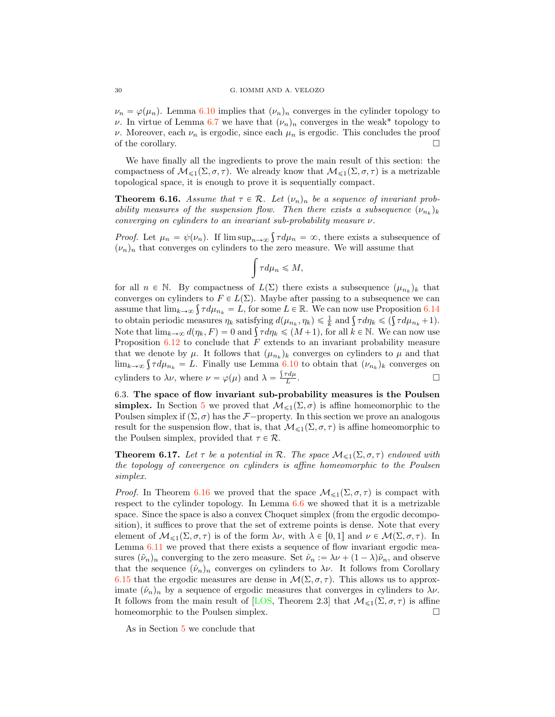<span id="page-29-2"></span> $\nu_n = \varphi(\mu_n)$ . Lemma [6.10](#page-24-3) implies that  $(\nu_n)_n$  converges in the cylinder topology to ν. In virtue of Lemma [6.7](#page-22-3) we have that  $(\nu_n)_n$  converges in the weak\* topology to ν. Moreover, each  $ν_n$  is ergodic, since each  $μ_n$  is ergodic. This concludes the proof of the corollary.  $\Box$ 

We have finally all the ingredients to prove the main result of this section: the compactness of  $M_{\leq 1}(\Sigma, \sigma, \tau)$ . We already know that  $M_{\leq 1}(\Sigma, \sigma, \tau)$  is a metrizable topological space, it is enough to prove it is sequentially compact.

<span id="page-29-0"></span>**Theorem 6.16.** Assume that  $\tau \in \mathcal{R}$ . Let  $(\nu_n)_n$  be a sequence of invariant probability measures of the suspension flow. Then there exists a subsequence  $(\nu_{n_k})_k$ converging on cylinders to an invariant sub-probability measure  $\nu$ .

*Proof.* Let  $\mu_n = \psi(\nu_n)$ . If  $\limsup_{n \to \infty} \int \tau d\mu_n = \infty$ , there exists a subsequence of  $(\nu_n)_n$  that converges on cylinders to the zero measure. We will assume that

$$
\int\tau d\mu_n\leqslant M,
$$

for all  $n \in \mathbb{N}$ . By compactness of  $L(\Sigma)$  there exists a subsequence  $(\mu_{n_k})_k$  that converges on cylinders to  $F \in L(\Sigma)$ . Maybe after passing to a subsequence we can assume that  $\lim_{k\to\infty} \int \tau d\mu_{n_k} = L$ , for some  $L \in \mathbb{R}$ . We can now use Proposition [6.14](#page-27-0) to obtain periodic measures  $\eta_k$  satisfying  $d(\mu_{n_k}, \eta_k) \leq \frac{1}{k}$  and  $\int \tau d\eta_k \leq (\int \tau d\mu_{n_k} + 1)$ . Note that  $\lim_{k\to\infty} d(\eta_k, F) = 0$  and  $\int \tau d\eta_k \leq (M+1)$ , for all  $k \in \mathbb{N}$ . We can now use Proposition  $6.12$  to conclude that F extends to an invariant probability measure that we denote by  $\mu$ . It follows that  $(\mu_{n_k})_k$  converges on cylinders to  $\mu$  and that  $\lim_{k\to\infty} \int \tau d\mu_{n_k} = L$ . Finally use Lemma [6.10](#page-24-3) to obtain that  $(\nu_{n_k})_k$  converges on cylinders to  $\lambda \nu$ , where  $\nu = \varphi(\mu)$  and  $\lambda = \frac{\int \tau d\mu}{L}$  $\frac{d\mu}{L}$ .

6.3. The space of flow invariant sub-probability measures is the Poulsen **simplex.** In Section [5](#page-19-2) we proved that  $\mathcal{M}_{\leq 1}(\Sigma, \sigma)$  is affine homeomorphic to the Poulsen simplex if  $(\Sigma, \sigma)$  has the *F*—property. In this section we prove an analogous result for the suspension flow, that is, that  $\mathcal{M}_{\leq 1}(\Sigma, \sigma, \tau)$  is affine homeomorphic to the Poulsen simplex, provided that  $\tau \in \mathcal{R}$ .

<span id="page-29-1"></span>**Theorem 6.17.** Let  $\tau$  be a potential in  $\mathcal{R}$ . The space  $\mathcal{M}_{\leq 1}(\Sigma, \sigma, \tau)$  endowed with the topology of convergence on cylinders is affine homeomorphic to the Poulsen simplex.

*Proof.* In Theorem [6.16](#page-29-0) we proved that the space  $\mathcal{M}_{\leq 1}(\Sigma, \sigma, \tau)$  is compact with respect to the cylinder topology. In Lemma [6.6](#page-22-4) we showed that it is a metrizable space. Since the space is also a convex Choquet simplex (from the ergodic decomposition), it suffices to prove that the set of extreme points is dense. Note that every element of  $M_{\leq 1}(\Sigma, \sigma, \tau)$  is of the form  $\lambda \nu$ , with  $\lambda \in [0, 1]$  and  $\nu \in \mathcal{M}(\Sigma, \sigma, \tau)$ . In Lemma [6.11](#page-25-2) we proved that there exists a sequence of flow invariant ergodic measures  $(\tilde{\nu}_n)_n$  converging to the zero measure. Set  $\hat{\nu}_n := \lambda \nu + (1 - \lambda)\tilde{\nu}_n$ , and observe that the sequence  $(\hat{\nu}_n)_n$  converges on cylinders to  $\lambda \nu$ . It follows from Corollary [6.15](#page-28-0) that the ergodic measures are dense in  $\mathcal{M}(\Sigma, \sigma, \tau)$ . This allows us to approximate  $(\hat{\nu}_n)_n$  by a sequence of ergodic measures that converges in cylinders to  $\lambda \nu$ . It follows from the main result of [\[LOS,](#page-30-0) Theorem 2.3] that  $M_{\leq 1}(\Sigma, \sigma, \tau)$  is affine homeomorphic to the Poulsen simplex. homeomorphic to the Poulsen simplex.

As in Section [5](#page-19-2) we conclude that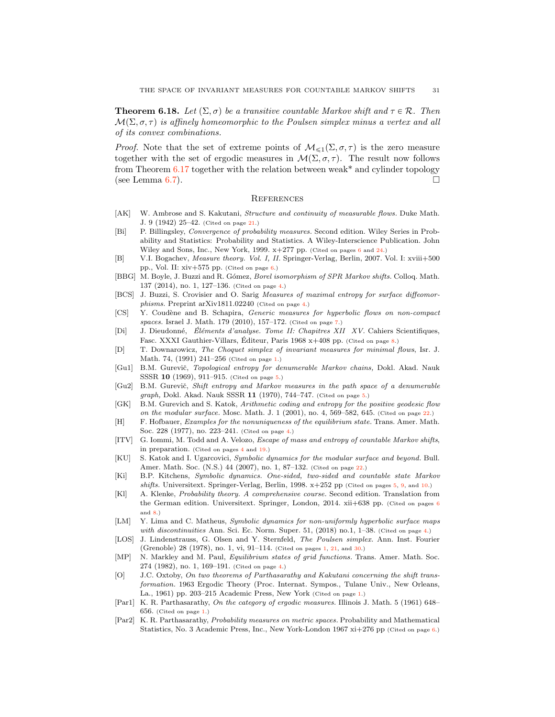<span id="page-30-4"></span>**Theorem 6.18.** Let  $(\Sigma, \sigma)$  be a transitive countable Markov shift and  $\tau \in \mathcal{R}$ . Then  $\mathcal{M}(\Sigma, \sigma, \tau)$  is affinely homeomorphic to the Poulsen simplex minus a vertex and all of its convex combinations.

*Proof.* Note that the set of extreme points of  $M_{\leq 1}(\Sigma, \sigma, \tau)$  is the zero measure together with the set of ergodic measures in  $\mathcal{M}(\Sigma, \sigma, \tau)$ . The result now follows from Theorem  $6.17$  together with the relation between weak\* and cylinder topology (see Lemma [6.7\)](#page-22-3).

#### **REFERENCES**

- <span id="page-30-20"></span>[AK] W. Ambrose and S. Kakutani, Structure and continuity of measurable flows. Duke Math. J. 9 (1942) 25–42. (Cited on page [21.](#page-20-1))
- <span id="page-30-14"></span>[Bi] P. Billingsley, Convergence of probability measures. Second edition. Wiley Series in Probability and Statistics: Probability and Statistics. A Wiley-Interscience Publication. John Wiley and Sons, Inc., New York, 1999. x+277 pp. (Cited on pages [6](#page-5-2) and [24.](#page-23-2))
- <span id="page-30-15"></span>[B] V.I. Bogachev, Measure theory. Vol. I, II. Springer-Verlag, Berlin, 2007. Vol. I: xviii+500 pp., Vol. II: xiv+575 pp. (Cited on page [6.](#page-5-2))
- <span id="page-30-5"></span>[BBG] M. Boyle, J. Buzzi and R. Gómez, Borel isomorphism of SPR Markov shifts. Colloq. Math. 137 (2014), no. 1, 127–136. (Cited on page [4.](#page-3-1))
- <span id="page-30-7"></span>[BCS] J. Buzzi, S. Crovisier and O. Sarig Measures of maximal entropy for surface diffeomorphisms. Preprint arXiv1811.02240 (Cited on page [4.](#page-3-1))
- <span id="page-30-18"></span>[CS] Y. Coudène and B. Schapira, Generic measures for hyperbolic flows on non-compact spaces. Israel J. Math. 179 (2010), 157–172. (Cited on page [7.](#page-6-2))
- <span id="page-30-19"></span>[Di] J. Dieudonné, Eléments d'analyse. Tome II: Chapitres XII XV. Cahiers Scientifiques, Fasc. XXXI Gauthier-Villars, Éditeur, Paris 1968 x+408 pp. (Cited on page [8.](#page-7-3))
- <span id="page-30-3"></span>[D] T. Downarowicz, The Choquet simplex of invariant measures for minimal flows, Isr. J. Math. 74, (1991) 241–256 (Cited on page [1.](#page-0-0))
- <span id="page-30-12"></span>[Gu1] B.M. Gurevič, Topological entropy for denumerable Markov chains, Dokl. Akad. Nauk SSSR 10 (1969), 911-91[5.](#page-4-1) (Cited on page 5.)
- <span id="page-30-13"></span>[Gu2] B.M. Gurevič, Shift entropy and Markov measures in the path space of a denumerable  $graph$ , Dokl. Akad. Nauk SSSR 11 (1970), 744–747. (Cited on page [5.](#page-4-1))
- <span id="page-30-21"></span>[GK] B.M. Gurevich and S. Katok, Arithmetic coding and entropy for the positive geodesic flow on the modular surface. Mosc. Math. J. 1 (2001), no. 4, 569-582, 645. (Cited on page [22.](#page-21-3))
- <span id="page-30-9"></span>[H] F. Hofbauer, Examples for the nonuniqueness of the equilibrium state. Trans. Amer. Math. Soc. 228 (1977), no. 223–241. (Cited on page [4.](#page-3-1))
- <span id="page-30-6"></span>[ITV] G. Iommi, M. Todd and A. Velozo, *Escape of mass and entropy of countable Markov shifts*, in preparation. (Cited on pages [4](#page-3-1) and [19.](#page-18-2))
- <span id="page-30-22"></span>[KU] S. Katok and I. Ugarcovici, Symbolic dynamics for the modular surface and beyond. Bull. Amer. Math. Soc. (N.S.) 44 (2007), no. 1, 87–132. (Cited on page [22.](#page-21-3))
- <span id="page-30-11"></span>[Ki] B.P. Kitchens, Symbolic dynamics. One-sided, two-sided and countable state Markov shifts. Universitext. Springer-Verlag, Berlin, 1998.  $x+252$  pp (Cited on pages [5,](#page-4-1) [9,](#page-8-5) and [10.](#page-9-1))
- <span id="page-30-16"></span>[Kl] A. Klenke, Probability theory. A comprehensive course. Second edition. Translation from the German edition. Universitext. Springer, London, 2014. xii+[6](#page-5-2)38 pp. (Cited on pages 6 and [8.](#page-7-3))
- <span id="page-30-8"></span>[LM] Y. Lima and C. Matheus, Symbolic dynamics for non-uniformly hyperbolic surface maps with discontinuities Ann. Sci. Ec. Norm. Super. 51, (2018) no.1, 1-38. (Cited on page [4.](#page-3-1))
- <span id="page-30-0"></span>[LOS] J. Lindenstrauss, G. Olsen and Y. Sternfeld, The Poulsen simplex. Ann. Inst. Fourier (Grenoble) 28 (1978), no. 1, vi, 91–114. (Cited on pages [1,](#page-0-0) [21,](#page-20-1) and [30.](#page-29-2))
- <span id="page-30-10"></span>[MP] N. Markley and M. Paul, Equilibrium states of grid functions. Trans. Amer. Math. Soc. 274 (1982), no. 1, 169–191. (Cited on page [4.](#page-3-1))
- <span id="page-30-2"></span>[O] J.C. Oxtoby, On two theorems of Parthasarathy and Kakutani concerning the shift transformation. 1963 Ergodic Theory (Proc. Internat. Sympos., Tulane Univ., New Orleans, La., 1961) pp. 203–215 Academic Press, New York (Cited on page [1.](#page-0-0))
- <span id="page-30-1"></span>[Par1] K. R. Parthasarathy, On the category of ergodic measures. Illinois J. Math. 5 (1961) 648– 656. (Cited on page [1.](#page-0-0))
- <span id="page-30-17"></span>[Par2] K. R. Parthasarathy, Probability measures on metric spaces. Probability and Mathematical Statistics, No. 3 Academic Press, Inc., New York-London 1967 xi+276 pp (Cited on page [6.](#page-5-2))